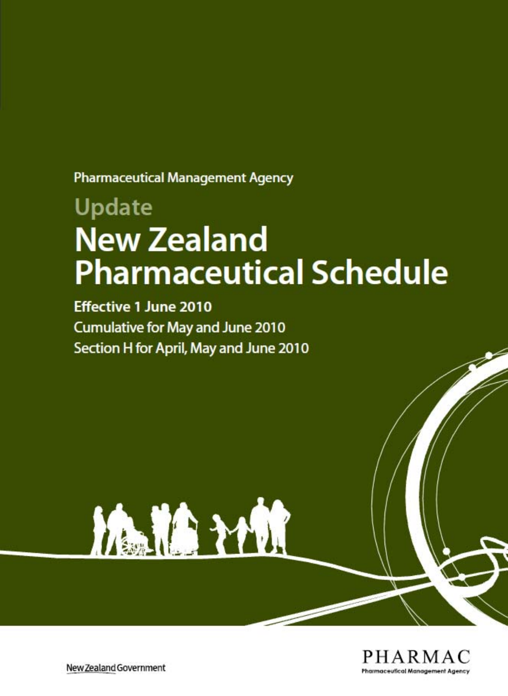**Pharmaceutical Management Agency** 

# **Update New Zealand Pharmaceutical Schedule**

**Effective 1 June 2010 Cumulative for May and June 2010** Section H for April, May and June 2010





New Zealand Government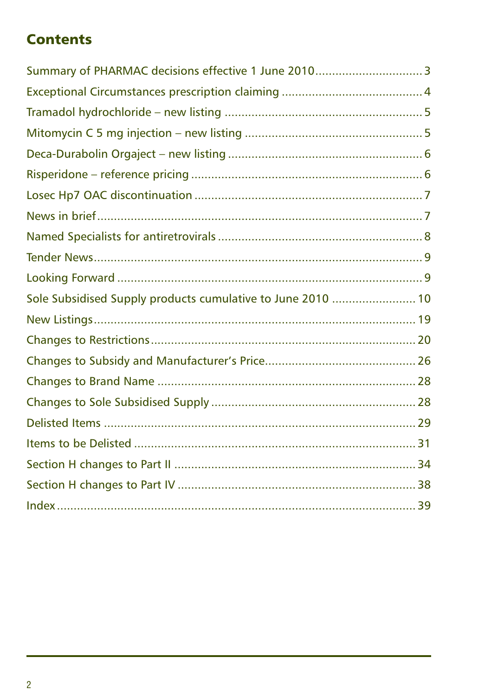# **Contents**

| Sole Subsidised Supply products cumulative to June 2010  10 |  |
|-------------------------------------------------------------|--|
|                                                             |  |
|                                                             |  |
|                                                             |  |
|                                                             |  |
|                                                             |  |
|                                                             |  |
|                                                             |  |
|                                                             |  |
|                                                             |  |
|                                                             |  |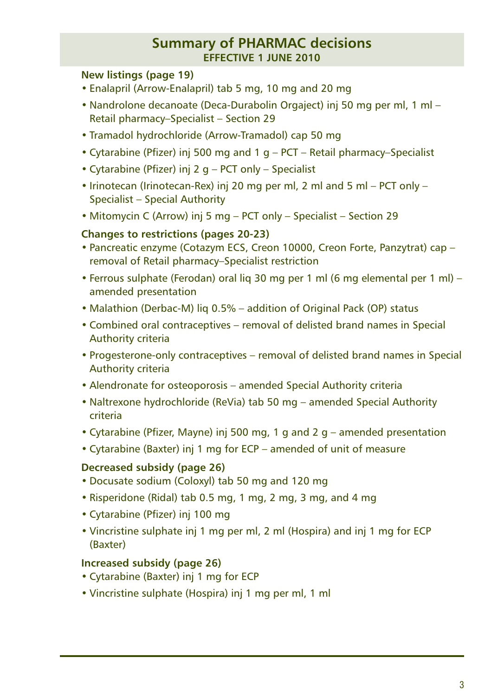#### **Summary of PHARMAC decisions effective 1 june 2010**

#### **New listings (page 19)**

- Enalapril (Arrow-Enalapril) tab 5 mg, 10 mg and 20 mg
- Nandrolone decanoate (Deca-Durabolin Orgaject) inj 50 mg per ml, 1 ml Retail pharmacy–Specialist – Section 29
- Tramadol hydrochloride (Arrow-Tramadol) cap 50 mg
- Cytarabine (Pfizer) inj 500 mg and 1 g PCT Retail pharmacy–Specialist
- Cytarabine (Pfizer) inj 2 g PCT only Specialist
- Irinotecan (Irinotecan-Rex) inj 20 mg per ml, 2 ml and 5 ml PCT only Specialist – Special Authority
- Mitomycin C (Arrow) inj 5 mg PCT only Specialist Section 29

#### **Changes to restrictions (pages 20-23)**

- Pancreatic enzyme (Cotazym ECS, Creon 10000, Creon Forte, Panzytrat) cap removal of Retail pharmacy–Specialist restriction
- Ferrous sulphate (Ferodan) oral liq 30 mg per 1 ml (6 mg elemental per 1 ml) amended presentation
- Malathion (Derbac-M) liq 0.5% addition of Original Pack (OP) status
- Combined oral contraceptives removal of delisted brand names in Special Authority criteria
- Progesterone-only contraceptives removal of delisted brand names in Special Authority criteria
- Alendronate for osteoporosis amended Special Authority criteria
- Naltrexone hydrochloride (ReVia) tab 50 mg amended Special Authority criteria
- Cytarabine (Pfizer, Mayne) inj 500 mg, 1 g and 2 g amended presentation
- Cytarabine (Baxter) inj 1 mg for ECP amended of unit of measure

#### **Decreased subsidy (page 26)**

- Docusate sodium (Coloxyl) tab 50 mg and 120 mg
- Risperidone (Ridal) tab 0.5 mg, 1 mg, 2 mg, 3 mg, and 4 mg
- Cytarabine (Pfizer) inj 100 mg
- Vincristine sulphate inj 1 mg per ml, 2 ml (Hospira) and inj 1 mg for ECP (Baxter)

#### **Increased subsidy (page 26)**

- Cytarabine (Baxter) inj 1 mg for ECP
- Vincristine sulphate (Hospira) inj 1 mg per ml, 1 ml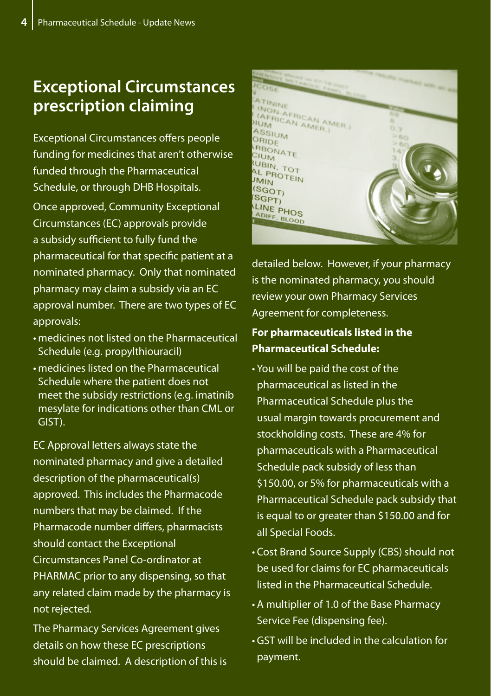# **Exceptional Circumstances prescription claiming**

Exceptional Circumstances offers people funding for medicines that aren't otherwise funded through the Pharmaceutical Schedule, or through DHB Hospitals. Once approved, Community Exceptional Circumstances (EC) approvals provide a subsidy sufficient to fully fund the pharmaceutical for that specific patient at a nominated pharmacy. Only that nominated pharmacy may claim a subsidy via an EC approval number. There are two types of EC approvals:

- medicines not listed on the Pharmaceutical Schedule (e.g. propylthiouracil)
- • medicines listed on the Pharmaceutical Schedule where the patient does not meet the subsidy restrictions (e.g. imatinib mesylate for indications other than CML or GIST).

EC Approval letters always state the nominated pharmacy and give a detailed description of the pharmaceutical(s) approved. This includes the Pharmacode numbers that may be claimed. If the Pharmacode number differs, pharmacists should contact the Exceptional Circumstances Panel Co-ordinator at PHARMAC prior to any dispensing, so that any related claim made by the pharmacy is not rejected.

The Pharmacy Services Agreement gives details on how these EC prescriptions should be claimed. A description of this is



detailed below. However, if your pharmacy is the nominated pharmacy, you should review your own Pharmacy Services Agreement for completeness.

#### **For pharmaceuticals listed in the Pharmaceutical Schedule:**

- • You will be paid the cost of the pharmaceutical as listed in the Pharmaceutical Schedule plus the usual margin towards procurement and stockholding costs. These are 4% for pharmaceuticals with a Pharmaceutical Schedule pack subsidy of less than \$150.00, or 5% for pharmaceuticals with a Pharmaceutical Schedule pack subsidy that is equal to or greater than \$150.00 and for all Special Foods.
- Cost Brand Source Supply (CBS) should not be used for claims for EC pharmaceuticals listed in the Pharmaceutical Schedule.
- • A multiplier of 1.0 of the Base Pharmacy Service Fee (dispensing fee).
- • GST will be included in the calculation for payment.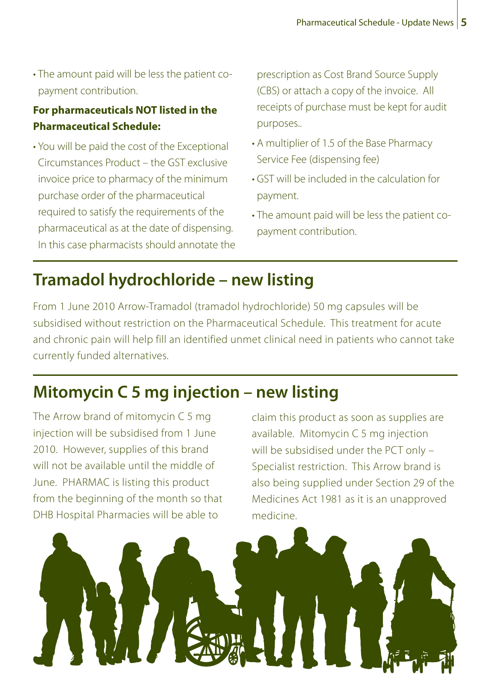• The amount paid will be less the patient copayment contribution.

#### **For pharmaceuticals NOT listed in the Pharmaceutical Schedule:**

• You will be paid the cost of the Exceptional Circumstances Product – the GST exclusive invoice price to pharmacy of the minimum purchase order of the pharmaceutical required to satisfy the requirements of the pharmaceutical as at the date of dispensing. In this case pharmacists should annotate the prescription as Cost Brand Source Supply (CBS) or attach a copy of the invoice. All receipts of purchase must be kept for audit purposes..

- A multiplier of 1.5 of the Base Pharmacy Service Fee (dispensing fee)
- • GST will be included in the calculation for payment.
- The amount paid will be less the patient copayment contribution.

# **Tramadol hydrochloride – new listing**

From 1 June 2010 Arrow-Tramadol (tramadol hydrochloride) 50 mg capsules will be subsidised without restriction on the Pharmaceutical Schedule. This treatment for acute and chronic pain will help fill an identified unmet clinical need in patients who cannot take currently funded alternatives.

# **Mitomycin C 5 mg injection – new listing**

The Arrow brand of mitomycin C 5 mg injection will be subsidised from 1 June 2010. However, supplies of this brand will not be available until the middle of June. PHARMAC is listing this product from the beginning of the month so that DHB Hospital Pharmacies will be able to

claim this product as soon as supplies are available. Mitomycin C 5 mg injection will be subsidised under the PCT only – Specialist restriction. This Arrow brand is also being supplied under Section 29 of the Medicines Act 1981 as it is an unapproved medicine.

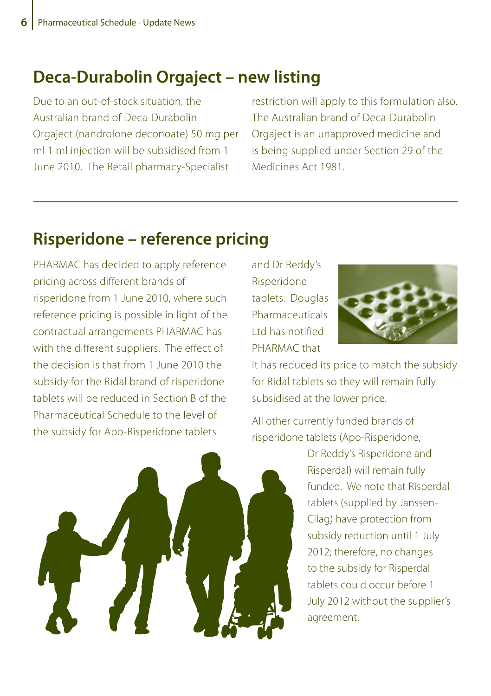### **Deca-Durabolin Orgaject – new listing**

Due to an out-of-stock situation, the Australian brand of Deca-Durabolin Orgaject (nandrolone deconoate) 50 mg per ml 1 ml injection will be subsidised from 1 June 2010. The Retail pharmacy-Specialist

restriction will apply to this formulation also. The Australian brand of Deca-Durabolin Orgaject is an unapproved medicine and is being supplied under Section 29 of the Medicines Act 1981.

# **Risperidone – reference pricing**

PHARMAC has decided to apply reference pricing across different brands of risperidone from 1 June 2010, where such reference pricing is possible in light of the contractual arrangements PHARMAC has with the different suppliers. The effect of the decision is that from 1 June 2010 the subsidy for the Ridal brand of risperidone tablets will be reduced in Section B of the Pharmaceutical Schedule to the level of the subsidy for Apo-Risperidone tablets

and Dr Reddy's Risperidone tablets. Douglas **Pharmaceuticals** Ltd has notified PHARMAC that



it has reduced its price to match the subsidy for Ridal tablets so they will remain fully subsidised at the lower price.

All other currently funded brands of risperidone tablets (Apo-Risperidone,



Dr Reddy's Risperidone and Risperdal) will remain fully funded. We note that Risperdal tablets (supplied by Janssen-Cilag) have protection from subsidy reduction until 1 July 2012; therefore, no changes to the subsidy for Risperdal tablets could occur before 1 July 2012 without the supplier's agreement.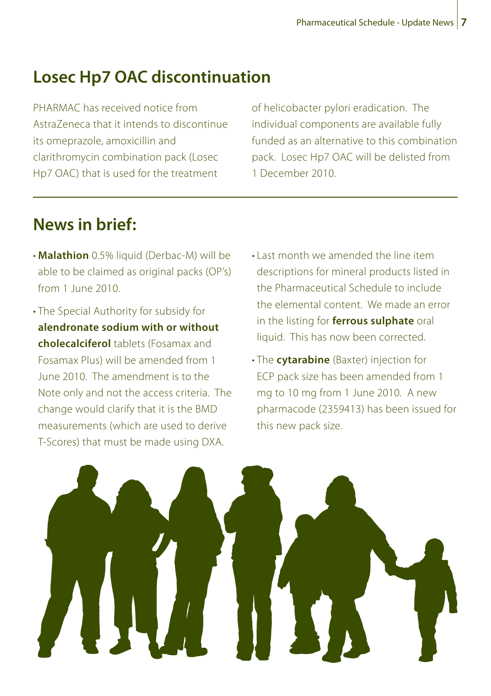# **Losec Hp7 OAC discontinuation**

PHARMAC has received notice from AstraZeneca that it intends to discontinue its omeprazole, amoxicillin and clarithromycin combination pack (Losec Hp7 OAC) that is used for the treatment

of helicobacter pylori eradication. The individual components are available fully funded as an alternative to this combination pack. Losec Hp7 OAC will be delisted from 1 December 2010.

# **News in brief:**

- • **Malathion** 0.5% liquid (Derbac-M) will be able to be claimed as original packs (OP's) from 1 June 2010.
- The Special Authority for subsidy for **alendronate sodium with or without cholecalciferol** tablets (Fosamax and Fosamax Plus) will be amended from 1 June 2010. The amendment is to the Note only and not the access criteria. The change would clarify that it is the BMD measurements (which are used to derive T-Scores) that must be made using DXA.
- Last month we amended the line item descriptions for mineral products listed in the Pharmaceutical Schedule to include the elemental content. We made an error in the listing for **ferrous sulphate** oral liquid. This has now been corrected.
- • The **cytarabine** (Baxter) injection for ECP pack size has been amended from 1 mg to 10 mg from 1 June 2010. A new pharmacode (2359413) has been issued for this new pack size.

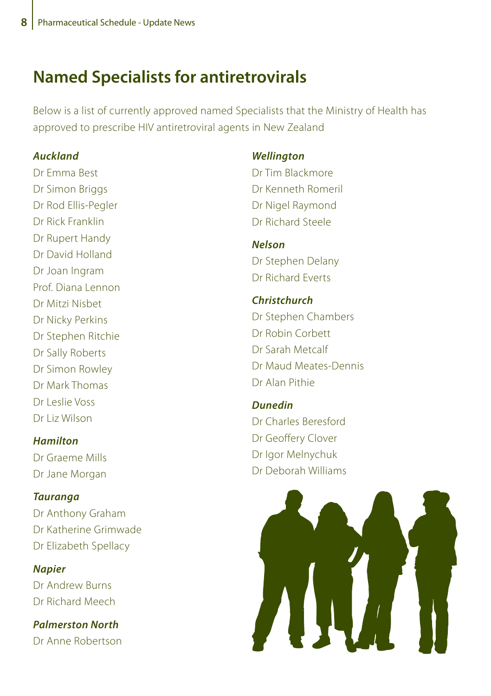# **Named Specialists for antiretrovirals**

Below is a list of currently approved named Specialists that the Ministry of Health has approved to prescribe HIV antiretroviral agents in New Zealand

#### *Auckland*

Dr Emma Best Dr Simon Briggs Dr Rod Ellis-Pegler Dr Rick Franklin Dr Rupert Handy Dr David Holland Dr Joan Ingram Prof. Diana Lennon Dr Mitzi Nisbet Dr Nicky Perkins Dr Stephen Ritchie Dr Sally Roberts Dr Simon Rowley Dr Mark Thomas Dr Leslie Voss Dr Liz Wilson

#### *Hamilton*

Dr Graeme Mills Dr Jane Morgan

#### *Tauranga*

Dr Anthony Graham Dr Katherine Grimwade Dr Elizabeth Spellacy

#### *Napier*

Dr Andrew Burns Dr Richard Meech

*Palmerston North* Dr Anne Robertson

#### *Wellington*

Dr Tim Blackmore Dr Kenneth Romeril Dr Nigel Raymond Dr Richard Steele

### *Nelson* Dr Stephen Delany

Dr Richard Everts

#### *Christchurch* Dr Stephen Chambers

Dr Robin Corbett Dr Sarah Metcalf Dr Maud Meates-Dennis Dr Alan Pithie

#### *Dunedin* Dr Charles Beresford Dr Geoffery Clover

Dr Igor Melnychuk Dr Deborah Williams

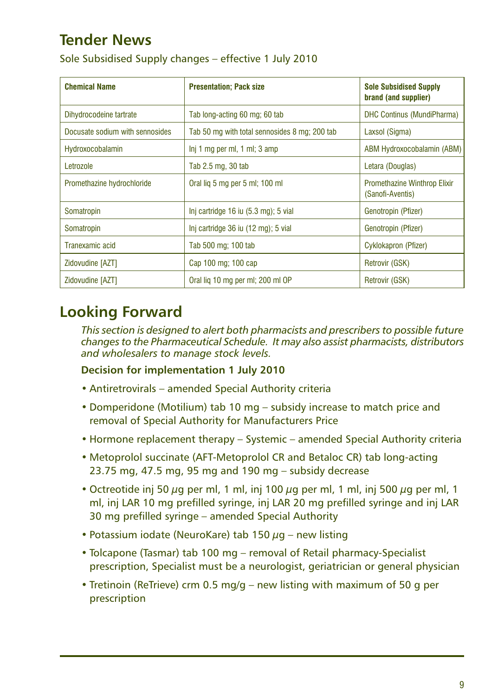# **Tender News**

|  |  | Sole Subsidised Supply changes - effective 1 July 2010 |  |
|--|--|--------------------------------------------------------|--|
|--|--|--------------------------------------------------------|--|

| <b>Chemical Name</b>            | <b>Presentation: Pack size</b>                    | <b>Sole Subsidised Supply</b><br>brand (and supplier)   |
|---------------------------------|---------------------------------------------------|---------------------------------------------------------|
| Dihydrocodeine tartrate         | Tab long-acting 60 mg; 60 tab                     | <b>DHC Continus (MundiPharma)</b>                       |
| Docusate sodium with sennosides | Tab 50 mg with total sennosides 8 mg; 200 tab     | Laxsol (Sigma)                                          |
| Hydroxocobalamin                | $Inj 1 mg$ per ml, $1 ml$ ; $3 amp$               | ABM Hydroxocobalamin (ABM)                              |
| Letrozole                       | Tab 2.5 mg, 30 tab                                | Letara (Douglas)                                        |
| Promethazine hydrochloride      | Oral lig 5 mg per 5 ml; 100 ml                    | <b>Promethazine Winthrop Elixir</b><br>(Sanofi-Aventis) |
| Somatropin                      | Inj cartridge $16$ iu $(5.3 \text{ mg})$ ; 5 vial | Genotropin (Pfizer)                                     |
| Somatropin                      | Inj cartridge 36 iu (12 mg); 5 vial               | Genotropin (Pfizer)                                     |
| Tranexamic acid                 | Tab 500 mg; 100 tab                               | Cyklokapron (Pfizer)                                    |
| Zidovudine [AZT]                | Cap 100 mg; 100 cap                               | Retrovir (GSK)                                          |
| Zidovudine [AZT]                | Oral lig 10 mg per ml; 200 ml OP                  | Retrovir (GSK)                                          |

# **Looking Forward**

*This section is designed to alert both pharmacists and prescribers to possible future changes to the Pharmaceutical Schedule. It may also assist pharmacists, distributors and wholesalers to manage stock levels.*

#### **Decision for implementation 1 July 2010**

- Antiretrovirals amended Special Authority criteria
- Domperidone (Motilium) tab 10 mg subsidy increase to match price and removal of Special Authority for Manufacturers Price
- Hormone replacement therapy Systemic amended Special Authority criteria
- Metoprolol succinate (AFT-Metoprolol CR and Betaloc CR) tab long-acting 23.75 mg, 47.5 mg, 95 mg and 190 mg – subsidy decrease
- Octreotide inj 50 μg per ml, 1 ml, inj 100 μg per ml, 1 ml, inj 500 μg per ml, 1 ml, inj LAR 10 mg prefilled syringe, inj LAR 20 mg prefilled syringe and inj LAR 30 mg prefilled syringe – amended Special Authority
- Potassium iodate (NeuroKare) tab 150  $\mu$ g new listing
- Tolcapone (Tasmar) tab 100 mg removal of Retail pharmacy-Specialist prescription, Specialist must be a neurologist, geriatrician or general physician
- Tretinoin (ReTrieve) crm 0.5 mg/g new listing with maximum of 50 g per prescription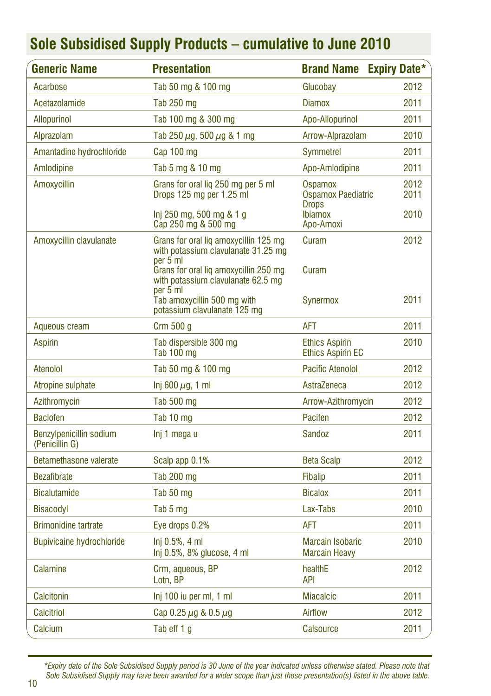| <b>Generic Name</b>                       | <b>Presentation</b>                                                                      | <b>Brand Name Expiry Date*</b>                    |              |
|-------------------------------------------|------------------------------------------------------------------------------------------|---------------------------------------------------|--------------|
| Acarbose                                  | Tab 50 mg & 100 mg                                                                       | Glucobay                                          | 2012         |
| Acetazolamide                             | Tab 250 mg                                                                               | <b>Diamox</b>                                     | 2011         |
| <b>Allopurinol</b>                        | Tab 100 mg & 300 mg                                                                      | Apo-Allopurinol                                   | 2011         |
| Alprazolam                                | Tab 250 $\mu$ g, 500 $\mu$ g & 1 mg                                                      | Arrow-Alprazolam                                  | 2010         |
| Amantadine hydrochloride                  | Cap 100 mg                                                                               | Symmetrel                                         | 2011         |
| Amlodipine                                | Tab 5 mg & 10 mg                                                                         | Apo-Amlodipine                                    | 2011         |
| Amoxycillin                               | Grans for oral lig 250 mg per 5 ml<br>Drops 125 mg per 1.25 ml                           | Ospamox<br>Ospamox Paediatric<br><b>Drops</b>     | 2012<br>2011 |
|                                           | Inj 250 mg, 500 mg & 1 g<br>Cap 250 mg & 500 mg                                          | <b>Ibiamox</b><br>Apo-Amoxi                       | 2010         |
| Amoxycillin clavulanate                   | Grans for oral lig amoxycillin 125 mg<br>with potassium clavulanate 31.25 mg<br>per 5 ml | Curam                                             | 2012         |
|                                           | Grans for oral liq amoxycillin 250 mg<br>with potassium clavulanate 62.5 mg              | Curam                                             |              |
|                                           | per 5 ml<br>Tab amoxycillin 500 mg with<br>potassium clavulanate 125 mg                  | Synermox                                          | 2011         |
| Aqueous cream                             | Crm 500 q                                                                                | <b>AFT</b>                                        | 2011         |
| <b>Aspirin</b>                            | Tab dispersible 300 mg<br>Tab 100 mg                                                     | <b>Ethics Aspirin</b><br><b>Ethics Aspirin EC</b> | 2010         |
| Atenolol                                  | Tab 50 mg & 100 mg                                                                       | <b>Pacific Atenolol</b>                           | 2012         |
| Atropine sulphate                         | Inj 600 $\mu$ g, 1 ml                                                                    | AstraZeneca                                       | 2012         |
| Azithromycin                              | Tab 500 mg                                                                               | Arrow-Azithromycin                                | 2012         |
| <b>Baclofen</b>                           | Tab 10 mg                                                                                | Pacifen                                           | 2012         |
| Benzylpenicillin sodium<br>(Penicillin G) | Inj 1 mega u                                                                             | Sandoz                                            | 2011         |
| Betamethasone valerate                    | Scalp app 0.1%                                                                           | Beta Scalp                                        | 2012         |
| <b>Bezafibrate</b>                        | Tab 200 mg                                                                               | <b>Fibalip</b>                                    | 2011         |
| <b>Bicalutamide</b>                       | Tab 50 mg                                                                                | <b>Bicalox</b>                                    | 2011         |
| <b>Bisacodyl</b>                          | Tab 5 mg                                                                                 | Lax-Tabs                                          | 2010         |
| <b>Brimonidine tartrate</b>               | Eye drops 0.2%                                                                           | AFT                                               | 2011         |
| <b>Bupivicaine hydrochloride</b>          | Inj 0.5%, 4 ml<br>Inj 0.5%, 8% glucose, 4 ml                                             | <b>Marcain Isobaric</b><br><b>Marcain Heavy</b>   | 2010         |
| Calamine                                  | Crm, aqueous, BP<br>Lotn, BP                                                             | healthE<br><b>API</b>                             | 2012         |
| Calcitonin                                | Inj 100 iu per ml, 1 ml                                                                  | <b>Miacalcic</b>                                  | 2011         |
| <b>Calcitriol</b>                         | Cap 0.25 $\mu$ g & 0.5 $\mu$ g                                                           | Airflow                                           | 2012         |
| Calcium                                   | Tab eff 1 q                                                                              | Calsource                                         | 2011         |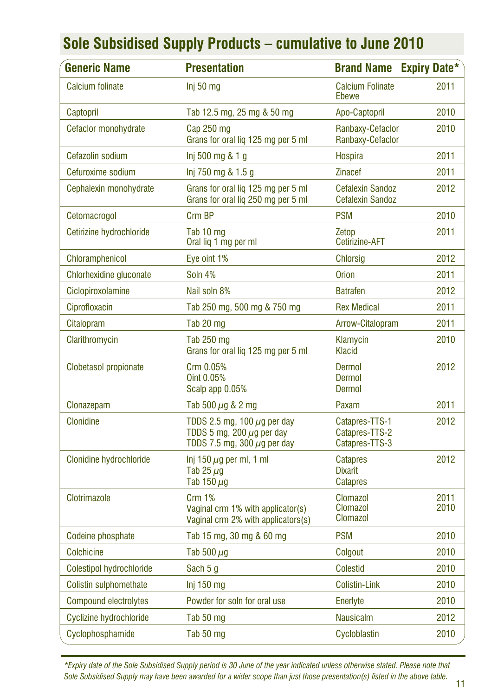| <b>Generic Name</b>          | <b>Presentation</b>                                                                                    | <b>Brand Name</b>                                    | <b>Expiry Date*</b> |
|------------------------------|--------------------------------------------------------------------------------------------------------|------------------------------------------------------|---------------------|
| Calcium folinate             | Inj 50 mg                                                                                              | <b>Calcium Folinate</b><br>Ebewe                     | 2011                |
| Captopril                    | Tab 12.5 mg, 25 mg & 50 mg                                                                             | Apo-Captopril                                        | 2010                |
| Cefaclor monohydrate         | Cap 250 mg<br>Grans for oral lig 125 mg per 5 ml                                                       | Ranbaxy-Cefaclor<br>Ranbaxy-Cefaclor                 | 2010                |
| Cefazolin sodium             | Inj 500 mg & 1 g                                                                                       | <b>Hospira</b>                                       | 2011                |
| Cefuroxime sodium            | lnj 750 mg & 1.5 g                                                                                     | <b>Zinacef</b>                                       | 2011                |
| Cephalexin monohydrate       | Grans for oral lig 125 mg per 5 ml<br>Grans for oral liq 250 mg per 5 ml                               | <b>Cefalexin Sandoz</b><br><b>Cefalexin Sandoz</b>   | 2012                |
| Cetomacrogol                 | Crm BP                                                                                                 | <b>PSM</b>                                           | 2010                |
| Cetirizine hydrochloride     | Tab 10 mg<br>Oral lig 1 mg per ml                                                                      | Zetop<br>Cetirizine-AFT                              | 2011                |
| <b>Chloramphenicol</b>       | Eye oint 1%                                                                                            | <b>Chlorsig</b>                                      | 2012                |
| Chlorhexidine gluconate      | Soln 4%                                                                                                | <b>Orion</b>                                         | 2011                |
| Ciclopiroxolamine            | Nail soln 8%                                                                                           | <b>Batrafen</b>                                      | 2012                |
| Ciprofloxacin                | Tab 250 mg, 500 mg & 750 mg                                                                            | <b>Rex Medical</b>                                   | 2011                |
| Citalopram                   | Tab 20 mg                                                                                              | Arrow-Citalopram                                     | 2011                |
| Clarithromycin               | Tab 250 mg<br>Grans for oral liq 125 mg per 5 ml                                                       | Klamycin<br>Klacid                                   | 2010                |
| Clobetasol propionate        | Crm 0.05%<br>Oint 0.05%<br>Scalp app 0.05%                                                             | Dermol<br>Dermol<br>Dermol                           | 2012                |
| Clonazepam                   | Tab 500 $\mu$ g & 2 mg                                                                                 | Paxam                                                | 2011                |
| <b>Clonidine</b>             | TDDS 2.5 mg, 100 $\mu$ g per day<br>TDDS 5 mg, 200 $\mu$ g per day<br>TDDS 7.5 mg, 300 $\mu$ g per day | Catapres-TTS-1<br>Catapres-TTS-2<br>Catapres-TTS-3   | 2012                |
| Clonidine hydrochloride      | $lni$ 150 $\mu$ g per ml, 1 ml<br>Tab 25 $\mu$ g<br>Tab 150 $\mu$ g                                    | <b>Catapres</b><br><b>Dixarit</b><br><b>Catapres</b> | 2012                |
| Clotrimazole                 | Crm 1%<br>Vaginal crm 1% with applicator(s)<br>Vaginal crm 2% with applicators(s)                      | Clomazol<br>Clomazol<br>Clomazol                     | 2011<br>2010        |
| Codeine phosphate            | Tab 15 mg, 30 mg & 60 mg                                                                               | <b>PSM</b>                                           | 2010                |
| <b>Colchicine</b>            | Tab 500 $\mu$ g                                                                                        | Colgout                                              | 2010                |
| Colestipol hydrochloride     | Sach 5 g                                                                                               | Colestid                                             | 2010                |
| Colistin sulphomethate       | $Inj$ 150 mg                                                                                           | <b>Colistin-Link</b>                                 | 2010                |
| <b>Compound electrolytes</b> | Powder for soln for oral use                                                                           | Enerlyte                                             | 2010                |
| Cyclizine hydrochloride      | Tab 50 mg                                                                                              | <b>Nausicalm</b>                                     | 2012                |
| Cyclophosphamide             | Tab 50 mg                                                                                              | Cycloblastin                                         | 2010                |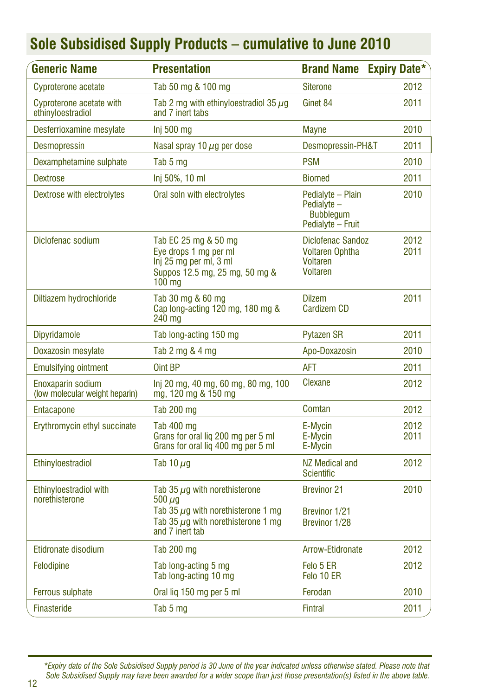| <b>Generic Name</b>                                 | <b>Presentation</b>                                                                                                                                          | <b>Brand Name</b>                                                         | <b>Expiry Date*</b> |
|-----------------------------------------------------|--------------------------------------------------------------------------------------------------------------------------------------------------------------|---------------------------------------------------------------------------|---------------------|
| Cyproterone acetate                                 | Tab 50 mg & 100 mg                                                                                                                                           | <b>Siterone</b>                                                           | 2012                |
| Cyproterone acetate with<br>ethinyloestradiol       | Tab 2 mg with ethinyloestradiol 35 $\mu$ g<br>and 7 inert tabs                                                                                               | Ginet 84                                                                  | 2011                |
| Desferrioxamine mesylate                            | Inj 500 mg                                                                                                                                                   | <b>Mayne</b>                                                              | 2010                |
| Desmopressin                                        | Nasal spray 10 $\mu$ g per dose                                                                                                                              | Desmopressin-PH&T                                                         | 2011                |
| Dexamphetamine sulphate                             | Tab 5 mg                                                                                                                                                     | <b>PSM</b>                                                                | 2010                |
| <b>Dextrose</b>                                     | Inj 50%, 10 ml                                                                                                                                               | <b>Biomed</b>                                                             | 2011                |
| Dextrose with electrolytes                          | Oral soln with electrolytes                                                                                                                                  | Pedialyte - Plain<br>Pedialyte -<br><b>Bubbleaum</b><br>Pedialyte - Fruit | 2010                |
| Diclofenac sodium                                   | Tab EC 25 mg & 50 mg<br>Eve drops 1 ma per ml<br>Inj 25 mg per ml, 3 ml<br>Suppos 12.5 mg, 25 mg, 50 mg &<br>$100 \text{ mg}$                                | Diclofenac Sandoz<br><b>Voltaren Ophtha</b><br>Voltaren<br>Voltaren       | 2012<br>2011        |
| Diltiazem hydrochloride                             | Tab 30 mg & 60 mg<br>Cap long-acting 120 mg, 180 mg &<br>240 mg                                                                                              | <b>Dilzem</b><br><b>Cardizem CD</b>                                       | 2011                |
| Dipyridamole                                        | Tab long-acting 150 mg                                                                                                                                       | <b>Pytazen SR</b>                                                         | 2011                |
| Doxazosin mesylate                                  | Tab 2 mg & 4 mg                                                                                                                                              | Apo-Doxazosin                                                             | 2010                |
| <b>Emulsifying ointment</b>                         | Oint BP                                                                                                                                                      | <b>AFT</b>                                                                | 2011                |
| Enoxaparin sodium<br>(low molecular weight heparin) | Inj 20 mg, 40 mg, 60 mg, 80 mg, 100<br>mg, 120 mg & 150 mg                                                                                                   | Clexane                                                                   | 2012                |
| Entacapone                                          | Tab 200 mg                                                                                                                                                   | Comtan                                                                    | 2012                |
| Erythromycin ethyl succinate                        | Tab 400 mg<br>Grans for oral liq 200 mg per 5 ml<br>Grans for oral lig 400 mg per 5 ml                                                                       | E-Mycin<br>E-Mycin<br>E-Mycin                                             | 2012<br>2011        |
| Ethinyloestradiol                                   | Tab 10 $\mu$ g                                                                                                                                               | NZ Medical and<br><b>Scientific</b>                                       | 2012                |
| Ethinvloestradiol with<br>norethisterone            | Tab 35 $\mu$ g with norethisterone<br>$500 \ \mu q$<br>Tab 35 $\mu$ g with norethisterone 1 mg<br>Tab 35 $\mu$ g with norethisterone 1 mg<br>and 7 inert tab | <b>Brevinor 21</b><br>Brevinor 1/21<br>Brevinor 1/28                      | 2010                |
| Etidronate disodium                                 | <b>Tab 200 mg</b>                                                                                                                                            | Arrow-Etidronate                                                          | 2012                |
| Felodipine                                          | Tab long-acting 5 mg<br>Tab long-acting 10 mg                                                                                                                | Felo 5 ER<br>Felo 10 ER                                                   | 2012                |
| Ferrous sulphate                                    | Oral lig 150 mg per 5 ml                                                                                                                                     | Ferodan                                                                   | 2010                |
| <b>Finasteride</b>                                  | Tab 5 mg                                                                                                                                                     | <b>Fintral</b>                                                            | 2011                |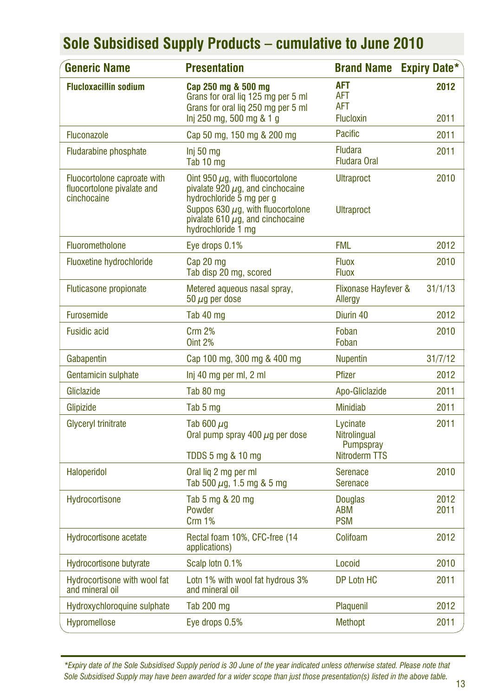| <b>Generic Name</b>                                                      | <b>Presentation</b>                                                                                                                                                                                                | <b>Brand Name</b>                                          | <b>Expiry Date*</b> |
|--------------------------------------------------------------------------|--------------------------------------------------------------------------------------------------------------------------------------------------------------------------------------------------------------------|------------------------------------------------------------|---------------------|
| <b>Flucloxacillin sodium</b>                                             | Cap 250 mg & 500 mg<br>Grans for oral liq 125 mg per 5 ml<br>Grans for oral lig 250 mg per 5 ml<br>lnj 250 mg, 500 mg & 1 g                                                                                        | <b>AFT</b><br><b>AFT</b><br><b>AFT</b><br><b>Flucloxin</b> | 2012<br>2011        |
| Fluconazole                                                              | Cap 50 mg, 150 mg & 200 mg                                                                                                                                                                                         | Pacific                                                    | 2011                |
| <b>Fludarabine phosphate</b>                                             | Inj 50 mg<br>Tab 10 mg                                                                                                                                                                                             | <b>Fludara</b><br><b>Fludara Oral</b>                      | 2011                |
| Fluocortolone caproate with<br>fluocortolone pivalate and<br>cinchocaine | Oint 950 $\mu$ g, with fluocortolone<br>pivalate 920 $\mu$ g, and cinchocaine<br>hydrochloride 5 mg per g<br>Suppos 630 $\mu$ g, with fluocortolone<br>pivalate 610 $\mu$ g, and cinchocaine<br>hydrochloride 1 mg | <b>Ultraproct</b><br><b>Ultraproct</b>                     | 2010                |
| Fluorometholone                                                          | Eye drops 0.1%                                                                                                                                                                                                     | <b>FML</b>                                                 | 2012                |
| <b>Fluoxetine hydrochloride</b>                                          | Cap 20 mg<br>Tab disp 20 mg, scored                                                                                                                                                                                | <b>Fluox</b><br><b>Fluox</b>                               | 2010                |
| Fluticasone propionate                                                   | Metered aqueous nasal spray,<br>50 $\mu$ g per dose                                                                                                                                                                | Flixonase Hayfever &<br>Allergy                            | 31/1/13             |
| <b>Furosemide</b>                                                        | Tab 40 mg                                                                                                                                                                                                          | Diurin 40                                                  | 2012                |
| <b>Fusidic acid</b>                                                      | <b>Crm 2%</b><br><b>Oint 2%</b>                                                                                                                                                                                    | Foban<br>Foban                                             | 2010                |
| Gabapentin                                                               | Cap 100 mg, 300 mg & 400 mg                                                                                                                                                                                        | <b>Nupentin</b>                                            | 31/7/12             |
| Gentamicin sulphate                                                      | Inj 40 mg per ml, 2 ml                                                                                                                                                                                             | <b>Pfizer</b>                                              | 2012                |
| Gliclazide                                                               | Tab 80 mg                                                                                                                                                                                                          | Apo-Gliclazide                                             | 2011                |
| Glipizide                                                                | Tab 5 mg                                                                                                                                                                                                           | <b>Minidiab</b>                                            | 2011                |
| Glyceryl trinitrate                                                      | Tab 600 $\mu$ g<br>Oral pump spray 400 $\mu$ q per dose<br>TDDS 5 mg & 10 mg                                                                                                                                       | Lycinate<br>Nitrolingual<br>Pumpspray<br>Nitroderm TTS     | 2011                |
| Haloperidol                                                              | Oral lig 2 mg per ml<br>Tab 500 µg, 1.5 mg & 5 mg                                                                                                                                                                  | Serenace<br>Serenace                                       | 2010                |
| Hydrocortisone                                                           | Tab 5 mg & 20 mg<br>Powder<br><b>Crm 1%</b>                                                                                                                                                                        | <b>Douglas</b><br><b>ABM</b><br><b>PSM</b>                 | 2012<br>2011        |
| <b>Hydrocortisone acetate</b>                                            | Rectal foam 10%, CFC-free (14<br>applications)                                                                                                                                                                     | Colifoam                                                   | 2012                |
| <b>Hydrocortisone butyrate</b>                                           | Scalp lotn 0.1%                                                                                                                                                                                                    | Locoid                                                     | 2010                |
| Hydrocortisone with wool fat<br>and mineral oil                          | Lotn 1% with wool fat hydrous 3%<br>and mineral oil                                                                                                                                                                | DP Lotn HC                                                 | 2011                |
| Hydroxychloroquine sulphate                                              | Tab 200 mg                                                                                                                                                                                                         | Plaquenil                                                  | 2012                |
| <b>Hypromellose</b>                                                      | Eye drops 0.5%                                                                                                                                                                                                     | Methopt                                                    | 2011                |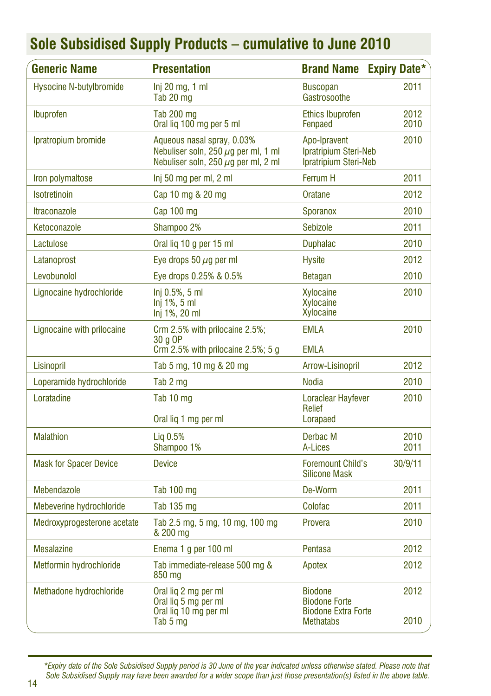| <b>Generic Name</b>            | <b>Presentation</b>                                                                                                | <b>Brand Name</b>                                                                        | <b>Expiry Date*</b> |
|--------------------------------|--------------------------------------------------------------------------------------------------------------------|------------------------------------------------------------------------------------------|---------------------|
| <b>Hysocine N-butylbromide</b> | $Inj 20$ mg, 1 ml<br>Tab 20 mg                                                                                     | <b>Buscopan</b><br>Gastrosoothe                                                          | 2011                |
| Ibuprofen                      | Tab 200 mg<br>Oral liq 100 mg per 5 ml                                                                             | <b>Ethics Ibuprofen</b><br>Fenpaed                                                       | 2012<br>2010        |
| Ipratropium bromide            | Aqueous nasal spray, 0.03%<br>Nebuliser soln, 250 $\mu$ g per ml, 1 ml<br>Nebuliser soln, 250 $\mu$ g per ml, 2 ml | Apo-Ipravent<br>Ipratripium Steri-Neb<br>Ipratripium Steri-Neb                           | 2010                |
| Iron polymaltose               | Inj 50 mg per ml, 2 ml                                                                                             | <b>Ferrum H</b>                                                                          | 2011                |
| <b>Isotretinoin</b>            | Cap 10 mg & 20 mg                                                                                                  | Oratane                                                                                  | 2012                |
| <b>Itraconazole</b>            | Cap 100 mg                                                                                                         | <b>Sporanox</b>                                                                          | 2010                |
| Ketoconazole                   | Shampoo 2%                                                                                                         | Sebizole                                                                                 | 2011                |
| Lactulose                      | Oral lig 10 g per 15 ml                                                                                            | <b>Duphalac</b>                                                                          | 2010                |
| Latanoprost                    | Eye drops 50 $\mu$ g per ml                                                                                        | <b>Hysite</b>                                                                            | 2012                |
| Levobunolol                    | Eye drops 0.25% & 0.5%                                                                                             | <b>Betagan</b>                                                                           | 2010                |
| Lignocaine hydrochloride       | Inj 0.5%, 5 ml<br>$Inj$ 1%, 5 ml<br>Inj 1%, 20 ml                                                                  | Xylocaine<br>Xvlocaine<br>Xylocaine                                                      | 2010                |
| Lignocaine with prilocaine     | Crm 2.5% with prilocaine 2.5%;<br>30 a OP<br>Crm $2.5\%$ with prilocaine $2.5\%$ ; 5 g                             | <b>EMLA</b><br>EMLA                                                                      | 2010                |
| Lisinopril                     | Tab 5 mg, 10 mg & 20 mg                                                                                            | Arrow-Lisinopril                                                                         | 2012                |
| Loperamide hydrochloride       | Tab 2 mg                                                                                                           | <b>Nodia</b>                                                                             | 2010                |
| Loratadine                     | Tab 10 mg<br>Oral lig 1 mg per ml                                                                                  | <b>Loraclear Hayfever</b><br>Relief<br>Lorapaed                                          | 2010                |
| <b>Malathion</b>               | Liq 0.5%<br>Shampoo 1%                                                                                             | Derbac M<br>A-Lices                                                                      | 2010<br>2011        |
| <b>Mask for Spacer Device</b>  | <b>Device</b>                                                                                                      | <b>Foremount Child's</b><br><b>Silicone Mask</b>                                         | 30/9/11             |
| Mebendazole                    | <b>Tab 100 mg</b>                                                                                                  | De-Worm                                                                                  | 2011                |
| Mebeverine hydrochloride       | Tab 135 mg                                                                                                         | Colofac                                                                                  | 2011                |
| Medroxyprogesterone acetate    | Tab 2.5 mg, 5 mg, 10 mg, 100 mg<br>& 200 mg                                                                        | Provera                                                                                  | 2010                |
| <b>Mesalazine</b>              | Enema 1 g per 100 ml                                                                                               | Pentasa                                                                                  | 2012                |
| Metformin hydrochloride        | Tab immediate-release 500 mg &<br>850 mg                                                                           | Apotex                                                                                   | 2012                |
| Methadone hydrochloride        | Oral lig 2 mg per ml<br>Oral liq 5 mg per ml<br>Oral lig 10 mg per ml<br>Tab 5 mg                                  | <b>Biodone</b><br><b>Biodone Forte</b><br><b>Biodone Extra Forte</b><br><b>Methatabs</b> | 2012<br>2010        |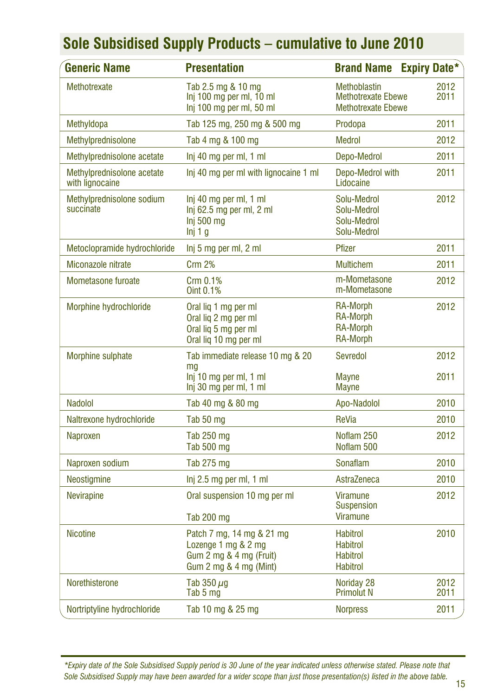| <b>Generic Name</b>                           | <b>Presentation</b>                                                                                   | <b>Brand Name Expiry Date*</b>                                                |              |
|-----------------------------------------------|-------------------------------------------------------------------------------------------------------|-------------------------------------------------------------------------------|--------------|
| Methotrexate                                  | Tab 2.5 mg & 10 mg<br>Inj 100 mg per ml, 10 ml<br>Inj 100 mg per ml, 50 ml                            | <b>Methoblastin</b><br><b>Methotrexate Ebewe</b><br><b>Methotrexate Ebewe</b> | 2012<br>2011 |
| Methyldopa                                    | Tab 125 mg, 250 mg & 500 mg                                                                           | Prodopa                                                                       | 2011         |
| Methylprednisolone                            | Tab 4 mg & 100 mg                                                                                     | <b>Medrol</b>                                                                 | 2012         |
| Methylprednisolone acetate                    | Inj 40 mg per ml, 1 ml                                                                                | Depo-Medrol                                                                   | 2011         |
| Methylprednisolone acetate<br>with lignocaine | Inj 40 mg per ml with lignocaine 1 ml                                                                 | Depo-Medrol with<br>Lidocaine                                                 | 2011         |
| Methylprednisolone sodium<br>succinate        | Inj 40 mg per ml, 1 ml<br>Inj 62.5 mg per ml, 2 ml<br>Inj 500 mg<br>lni 1 q                           | Solu-Medrol<br>Solu-Medrol<br>Solu-Medrol<br>Solu-Medrol                      | 2012         |
| Metoclopramide hydrochloride                  | Inj 5 mg per ml, 2 ml                                                                                 | Pfizer                                                                        | 2011         |
| Miconazole nitrate                            | <b>Crm 2%</b>                                                                                         | <b>Multichem</b>                                                              | 2011         |
| Mometasone furoate                            | Crm 0.1%<br>Oint 0.1%                                                                                 | m-Mometasone<br>m-Mometasone                                                  | 2012         |
| Morphine hydrochloride                        | Oral lig 1 mg per ml<br>Oral lig 2 mg per ml<br>Oral liq 5 mg per ml<br>Oral lig 10 mg per ml         | <b>RA-Morph</b><br><b>RA-Morph</b><br><b>RA-Morph</b><br><b>RA-Morph</b>      | 2012         |
| Morphine sulphate                             | Tab immediate release 10 mg & 20<br>mq<br>Inj 10 mg per ml, 1 ml                                      | Sevredol<br>Mayne                                                             | 2012<br>2011 |
|                                               | Inj 30 mg per ml, 1 ml                                                                                | <b>Mayne</b>                                                                  |              |
| <b>Nadolol</b>                                | Tab 40 mg & 80 mg                                                                                     | Apo-Nadolol                                                                   | 2010         |
| Naltrexone hydrochloride                      | Tab 50 mg                                                                                             | ReVia                                                                         | 2010         |
| Naproxen                                      | Tab $250$ mg<br>Tab 500 mg                                                                            | Noflam 250<br>Noflam 500                                                      | 2012         |
| Naproxen sodium                               | Tab 275 mg                                                                                            | Sonaflam                                                                      | 2010         |
| Neostigmine                                   | Inj 2.5 mg per ml, 1 ml                                                                               | AstraZeneca                                                                   | 2010         |
| Nevirapine                                    | Oral suspension 10 mg per ml<br>Tab 200 mg                                                            | <b>Viramune</b><br><b>Suspension</b><br><b>Viramune</b>                       | 2012         |
| <b>Nicotine</b>                               | Patch 7 mg, 14 mg & 21 mg<br>Lozenge 1 mg & 2 mg<br>Gum 2 mg & 4 mg (Fruit)<br>Gum 2 mg & 4 mg (Mint) | <b>Habitrol</b><br><b>Habitrol</b><br><b>Habitrol</b><br><b>Habitrol</b>      | 2010         |
| Norethisterone                                | Tab 350 $\mu$ g<br>Tab 5 mg                                                                           | Noriday 28<br><b>Primolut N</b>                                               | 2012<br>2011 |
| Nortriptyline hydrochloride                   | Tab 10 mg & 25 mg                                                                                     | <b>Norpress</b>                                                               | 2011         |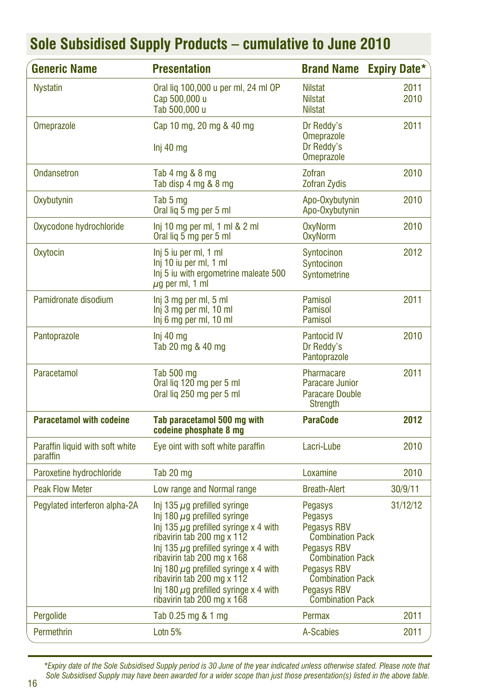| <b>Generic Name</b>                         | <b>Presentation</b>                                                                                                                                                                                                                                                                                                                                                                    | <b>Brand Name</b>                                                                                                                                                                                        | <b>Expiry Date*</b> |
|---------------------------------------------|----------------------------------------------------------------------------------------------------------------------------------------------------------------------------------------------------------------------------------------------------------------------------------------------------------------------------------------------------------------------------------------|----------------------------------------------------------------------------------------------------------------------------------------------------------------------------------------------------------|---------------------|
| <b>Nystatin</b>                             | Oral lig 100,000 u per ml, 24 ml OP<br>Cap 500,000 u<br>Tab 500,000 u                                                                                                                                                                                                                                                                                                                  | <b>Nilstat</b><br><b>Nilstat</b><br><b>Nilstat</b>                                                                                                                                                       | 2011<br>2010        |
| <b>Omeprazole</b>                           | Cap 10 mg, 20 mg & 40 mg<br>Inj 40 mg                                                                                                                                                                                                                                                                                                                                                  | Dr Reddy's<br><b>Omeprazole</b><br>Dr Reddy's<br><b>Omeprazole</b>                                                                                                                                       | 2011                |
| <b>Ondansetron</b>                          | Tab 4 mg & 8 mg<br>Tab disp 4 mg & 8 mg                                                                                                                                                                                                                                                                                                                                                | Zofran<br><b>Zofran Zydis</b>                                                                                                                                                                            | 2010                |
| Oxybutynin                                  | Tab 5 mg<br>Oral lig 5 mg per 5 ml                                                                                                                                                                                                                                                                                                                                                     | Apo-Oxybutynin<br>Apo-Oxybutynin                                                                                                                                                                         | 2010                |
| Oxycodone hydrochloride                     | Inj 10 mg per ml, 1 ml $\&$ 2 ml<br>Oral lig 5 mg per 5 ml                                                                                                                                                                                                                                                                                                                             | <b>OxyNorm</b><br><b>OxyNorm</b>                                                                                                                                                                         | 2010                |
| Oxytocin                                    | Inj 5 iu per ml, 1 ml<br>Inj 10 iu per ml, 1 ml<br>Inj 5 iu with ergometrine maleate 500<br>$\mu$ g per ml, 1 ml                                                                                                                                                                                                                                                                       | Syntocinon<br>Syntocinon<br>Syntometrine                                                                                                                                                                 | 2012                |
| Pamidronate disodium                        | Inj 3 mg per ml, 5 ml<br>Inj 3 mg per ml, 10 ml<br>Inj 6 mg per ml, 10 ml                                                                                                                                                                                                                                                                                                              | Pamisol<br><b>Pamisol</b><br><b>Pamisol</b>                                                                                                                                                              | 2011                |
| Pantoprazole                                | $Inj$ 40 mg<br>Tab 20 mg & 40 mg                                                                                                                                                                                                                                                                                                                                                       | <b>Pantocid IV</b><br>Dr Reddy's<br>Pantoprazole                                                                                                                                                         | 2010                |
| Paracetamol                                 | Tab 500 mg<br>Oral lig 120 mg per 5 ml<br>Oral lig 250 mg per 5 ml                                                                                                                                                                                                                                                                                                                     | Pharmacare<br>Paracare Junior<br><b>Paracare Double</b><br>Strength                                                                                                                                      | 2011                |
| <b>Paracetamol with codeine</b>             | Tab paracetamol 500 mg with<br>codeine phosphate 8 mg                                                                                                                                                                                                                                                                                                                                  | <b>ParaCode</b>                                                                                                                                                                                          | 2012                |
| Paraffin liquid with soft white<br>paraffin | Eye oint with soft white paraffin                                                                                                                                                                                                                                                                                                                                                      | Lacri-Lube                                                                                                                                                                                               | 2010                |
| Paroxetine hydrochloride                    | Tab 20 mg                                                                                                                                                                                                                                                                                                                                                                              | Loxamine                                                                                                                                                                                                 | 2010                |
| <b>Peak Flow Meter</b>                      | Low range and Normal range                                                                                                                                                                                                                                                                                                                                                             | <b>Breath-Alert</b>                                                                                                                                                                                      | 30/9/11             |
| Pegylated interferon alpha-2A               | Inj 135 $\mu$ g prefilled syringe<br>Inj 180 $\mu$ g prefilled syringe<br>Inj 135 $\mu$ g prefilled syringe x 4 with<br>ribavirin tab 200 mg x 112<br>Inj 135 $\mu$ g prefilled syringe x 4 with<br>ribavirin tab 200 mg x 168<br>Inj 180 $\mu$ g prefilled syringe x 4 with<br>ribavirin tab 200 mg x 112<br>Inj 180 $\mu$ g prefilled syringe x 4 with<br>ribavirin tab 200 mg x 168 | Pegasys<br>Pegasys<br>Pegasys RBV<br><b>Combination Pack</b><br><b>Pegasys RBV</b><br><b>Combination Pack</b><br><b>Pegasys RBV</b><br><b>Combination Pack</b><br>Pegasys RBV<br><b>Combination Pack</b> | 31/12/12            |
| Pergolide                                   | Tab 0.25 mg & 1 mg                                                                                                                                                                                                                                                                                                                                                                     | Permax                                                                                                                                                                                                   | 2011                |
| Permethrin                                  | Lotn 5%                                                                                                                                                                                                                                                                                                                                                                                | A-Scabies                                                                                                                                                                                                | 2011                |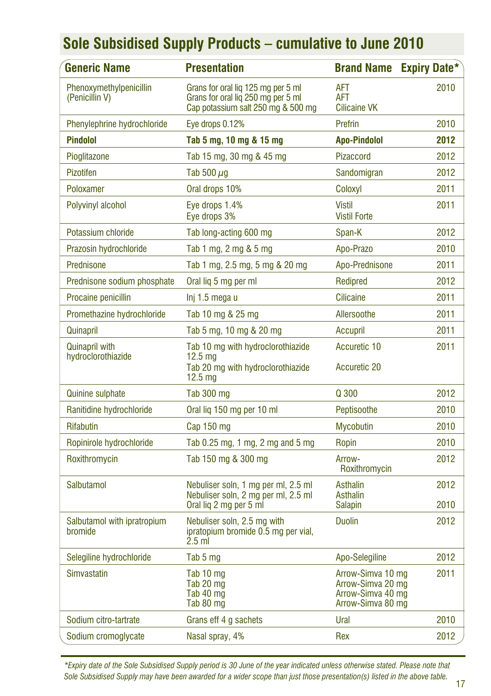| Generic Name                                | <b>Presentation</b>                                                                                                | <b>Brand Name</b>                                                                | <b>Expiry Date*</b> |
|---------------------------------------------|--------------------------------------------------------------------------------------------------------------------|----------------------------------------------------------------------------------|---------------------|
| Phenoxymethylpenicillin<br>(Penicillin V)   | Grans for oral liq 125 mg per 5 ml<br>Grans for oral lig 250 mg per 5 ml<br>Cap potassium salt 250 mg & 500 mg     | <b>AFT</b><br>AFT<br><b>Cilicaine VK</b>                                         | 2010                |
| Phenylephrine hydrochloride                 | Eye drops 0.12%                                                                                                    | Prefrin                                                                          | 2010                |
| <b>Pindolol</b>                             | Tab 5 mg, 10 mg & 15 mg                                                                                            | <b>Apo-Pindolol</b>                                                              | 2012                |
| Pioglitazone                                | Tab 15 mg, 30 mg & 45 mg                                                                                           | Pizaccord                                                                        | 2012                |
| <b>Pizotifen</b>                            | Tab 500 $\mu$ g                                                                                                    | Sandomigran                                                                      | 2012                |
| Poloxamer                                   | Oral drops 10%                                                                                                     | Coloxyl                                                                          | 2011                |
| Polyvinyl alcohol                           | Eye drops 1.4%<br>Eye drops 3%                                                                                     | <b>Vistil</b><br><b>Vistil Forte</b>                                             | 2011                |
| Potassium chloride                          | Tab long-acting 600 mg                                                                                             | Span-K                                                                           | 2012                |
| Prazosin hydrochloride                      | Tab 1 mg, 2 mg & 5 mg                                                                                              | Apo-Prazo                                                                        | 2010                |
| Prednisone                                  | Tab 1 mg, 2.5 mg, 5 mg & 20 mg                                                                                     | Apo-Prednisone                                                                   | 2011                |
| Prednisone sodium phosphate                 | Oral lig 5 mg per ml                                                                                               | Redipred                                                                         | 2012                |
| Procaine penicillin                         | Inj 1.5 mega u                                                                                                     | <b>Cilicaine</b>                                                                 | 2011                |
| Promethazine hydrochloride                  | Tab 10 mg & 25 mg                                                                                                  | Allersoothe                                                                      | 2011                |
| Quinapril                                   | Tab 5 mg, 10 mg & 20 mg                                                                                            | Accupril                                                                         | 2011                |
| <b>Quinapril with</b><br>hydroclorothiazide | Tab 10 mg with hydroclorothiazide<br>12.5 <sub>mq</sub><br>Tab 20 mg with hydroclorothiazide<br>12.5 <sub>ma</sub> | Accuretic 10<br><b>Accuretic 20</b>                                              | 2011                |
| Quinine sulphate                            | Tab 300 mg                                                                                                         | Q 300                                                                            | 2012                |
| Ranitidine hydrochloride                    | Oral lig 150 mg per 10 ml                                                                                          | Peptisoothe                                                                      | 2010                |
| <b>Rifabutin</b>                            | Cap 150 mg                                                                                                         | <b>Mycobutin</b>                                                                 | 2010                |
| Ropinirole hydrochloride                    | Tab 0.25 mg, 1 mg, 2 mg and 5 mg                                                                                   | Ropin                                                                            | 2010                |
| Roxithromycin                               | Tab 150 mg & 300 mg                                                                                                | Arrow-<br>Roxithromycin                                                          | 2012                |
| Salbutamol                                  | Nebuliser soln, 1 mg per ml, 2.5 ml<br>Nebuliser soln, 2 mg per ml, 2.5 ml<br>Oral lig 2 mg per 5 ml               | Asthalin<br>Asthalin<br>Salapin                                                  | 2012<br>2010        |
| Salbutamol with ipratropium<br>bromide      | Nebuliser soln, 2.5 mg with<br>ipratopium bromide 0.5 mg per vial,<br>$2.5$ ml                                     | <b>Duolin</b>                                                                    | 2012                |
| Selegiline hydrochloride                    | Tab 5 mg                                                                                                           | Apo-Selegiline                                                                   | 2012                |
| Simvastatin                                 | Tab 10 mg<br>Tab 20 mg<br>Tab 40 mg<br>Tab 80 mg                                                                   | Arrow-Simva 10 mg<br>Arrow-Simva 20 mg<br>Arrow-Simva 40 mg<br>Arrow-Simva 80 mg | 2011                |
| Sodium citro-tartrate                       | Grans eff 4 g sachets                                                                                              | Ural                                                                             | 2010                |
| Sodium cromoglycate                         | Nasal spray, 4%                                                                                                    | Rex                                                                              | 2012                |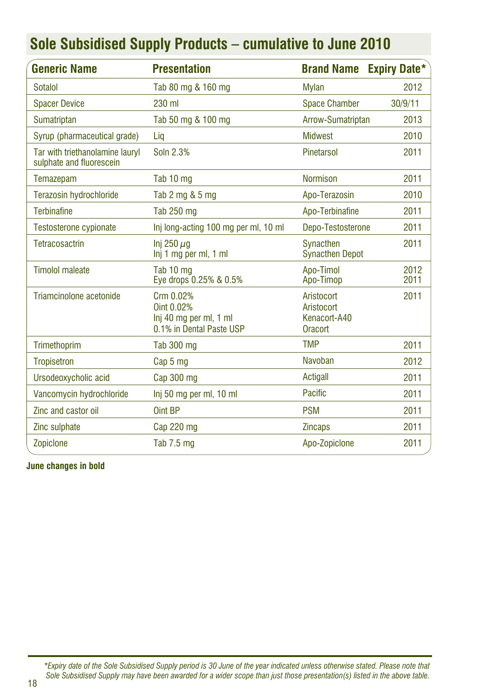| <b>Generic Name</b>                                         | <b>Presentation</b>                                                           | <b>Brand Name</b>                                          | <b>Expiry Date*</b> |
|-------------------------------------------------------------|-------------------------------------------------------------------------------|------------------------------------------------------------|---------------------|
| Sotalol                                                     | Tab 80 mg & 160 mg                                                            | <b>Mylan</b>                                               | 2012                |
| <b>Spacer Device</b>                                        | 230 ml                                                                        | <b>Space Chamber</b>                                       | 30/9/11             |
| Sumatriptan                                                 | Tab 50 mg & 100 mg                                                            | Arrow-Sumatriptan                                          | 2013                |
| Syrup (pharmaceutical grade)                                | Lig                                                                           | <b>Midwest</b>                                             | 2010                |
| Tar with triethanolamine lauryl<br>sulphate and fluorescein | Soln 2.3%                                                                     | Pinetarsol                                                 | 2011                |
| Temazepam                                                   | Tab 10 mg                                                                     | <b>Normison</b>                                            | 2011                |
| Terazosin hydrochloride                                     | Tab 2 mg & 5 mg                                                               | Apo-Terazosin                                              | 2010                |
| <b>Terbinafine</b>                                          | Tab 250 mg                                                                    | Apo-Terbinafine                                            | 2011                |
| <b>Testosterone cypionate</b>                               | Inj long-acting 100 mg per ml, 10 ml                                          | Depo-Testosterone                                          | 2011                |
| Tetracosactrin                                              | Inj 250 $\mu$ q<br>Inj 1 mg per ml, 1 ml                                      | Synacthen<br><b>Synacthen Depot</b>                        | 2011                |
| <b>Timolol maleate</b>                                      | Tab 10 mg<br>Eye drops 0.25% & 0.5%                                           | Apo-Timol<br>Apo-Timop                                     | 2012<br>2011        |
| Triamcinolone acetonide                                     | Crm 0.02%<br>Oint 0.02%<br>Inj 40 mg per ml, 1 ml<br>0.1% in Dental Paste USP | Aristocort<br>Aristocort<br>Kenacort-A40<br><b>Oracort</b> | 2011                |
| Trimethoprim                                                | Tab 300 mg                                                                    | <b>TMP</b>                                                 | 2011                |
| <b>Tropisetron</b>                                          | Cap 5 mg                                                                      | Navoban                                                    | 2012                |
| Ursodeoxycholic acid                                        | Cap 300 mg                                                                    | Actigall                                                   | 2011                |
| Vancomycin hydrochloride                                    | Inj 50 mg per ml, 10 ml                                                       | Pacific                                                    | 2011                |
| Zinc and castor oil                                         | Oint BP                                                                       | <b>PSM</b>                                                 | 2011                |
| Zinc sulphate                                               | Cap 220 mg                                                                    | <b>Zincaps</b>                                             | 2011                |
| Zopiclone                                                   | Tab 7.5 mg                                                                    | Apo-Zopiclone                                              | 2011                |

**June changes in bold**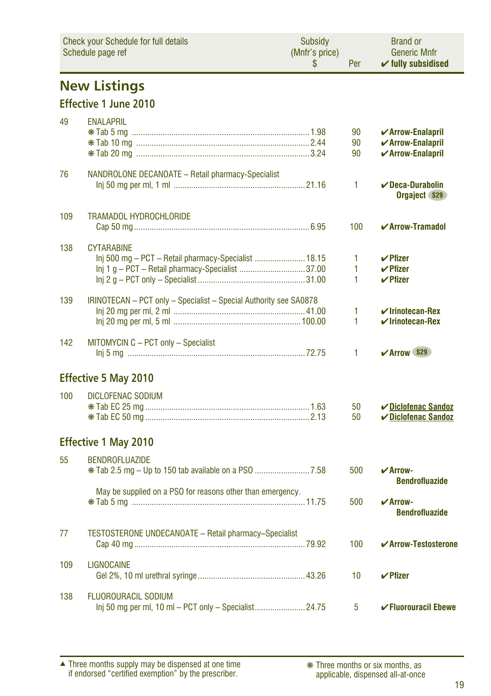| <b>Check your Schedule for full details</b><br>Schedule page ref |                                                                   | Subsidy<br>(Mnfr's price)<br>S | Per | <b>Brand or</b><br><b>Generic Mnfr</b><br>$\checkmark$ fully subsidised |
|------------------------------------------------------------------|-------------------------------------------------------------------|--------------------------------|-----|-------------------------------------------------------------------------|
|                                                                  | <b>New Listings</b>                                               |                                |     |                                                                         |
|                                                                  | <b>Effective 1 June 2010</b>                                      |                                |     |                                                                         |
| 49                                                               | <b>ENALAPRIL</b>                                                  |                                |     |                                                                         |
|                                                                  |                                                                   |                                | 90  | ✔ Arrow-Enalapril                                                       |
|                                                                  |                                                                   |                                | 90  | $\checkmark$ Arrow-Enalapril                                            |
|                                                                  |                                                                   |                                | 90  | ✔ Arrow-Enalapril                                                       |
| 76                                                               | NANDROLONE DECANOATE - Retail pharmacy-Specialist                 |                                |     |                                                                         |
|                                                                  |                                                                   |                                | 1   | $\checkmark$ Deca-Durabolin<br>Orgaject \$29                            |
|                                                                  |                                                                   |                                |     |                                                                         |
| 109                                                              | <b>TRAMADOL HYDROCHLORIDE</b>                                     |                                | 100 | $\boldsymbol{\checkmark}$ Arrow-Tramadol                                |
|                                                                  |                                                                   |                                |     |                                                                         |
| 138                                                              | <b>CYTARABINE</b>                                                 |                                |     |                                                                         |
|                                                                  | Inj 500 mg - PCT - Retail pharmacy-Specialist  18.15              |                                | 1   | $V$ Pfizer                                                              |
|                                                                  | Inj 1 g - PCT - Retail pharmacy-Specialist 37.00                  |                                | 1   | $\vee$ Pfizer                                                           |
|                                                                  |                                                                   |                                | 1   | $\vee$ Pfizer                                                           |
| 139                                                              | IRINOTECAN - PCT only - Specialist - Special Authority see SA0878 |                                |     |                                                                         |
|                                                                  |                                                                   |                                | 1   | $\checkmark$ Irinotecan-Rex                                             |
|                                                                  |                                                                   |                                | 1   | $\checkmark$ Irinotecan-Rex                                             |
| 142                                                              | MITOMYCIN C - PCT only - Specialist                               |                                |     |                                                                         |
|                                                                  |                                                                   |                                | 1   | <b>∠Arrow S29</b>                                                       |
|                                                                  |                                                                   |                                |     |                                                                         |
|                                                                  | <b>Effective 5 May 2010</b>                                       |                                |     |                                                                         |
| 100                                                              | <b>DICLOFENAC SODIUM</b>                                          |                                |     |                                                                         |
|                                                                  |                                                                   |                                | 50  | ✔ Diclofenac Sandoz                                                     |
|                                                                  |                                                                   |                                | 50  | ✔ Diclofenac Sandoz                                                     |
|                                                                  | <b>Effective 1 May 2010</b>                                       |                                |     |                                                                         |
|                                                                  |                                                                   |                                |     |                                                                         |
| 55                                                               | <b>BENDROFLUAZIDE</b>                                             |                                |     |                                                                         |
|                                                                  |                                                                   |                                | 500 | $\mathbf{V}$ Arrow-<br><b>Bendrofluazide</b>                            |
|                                                                  | May be supplied on a PSO for reasons other than emergency.        |                                |     |                                                                         |
|                                                                  |                                                                   |                                | 500 | $\mathbf{v}$ Arrow-                                                     |
|                                                                  |                                                                   |                                |     | <b>Bendrofluazide</b>                                                   |
| 77                                                               | <b>TESTOSTERONE UNDECANOATE - Retail pharmacy-Specialist</b>      |                                |     |                                                                         |
|                                                                  |                                                                   |                                | 100 | ✔ Arrow-Testosterone                                                    |
|                                                                  |                                                                   |                                |     |                                                                         |
| 109                                                              | <b>LIGNOCAINE</b>                                                 |                                |     |                                                                         |
|                                                                  |                                                                   |                                | 10  | $\boldsymbol{\nu}$ Pfizer                                               |
| 138                                                              | <b>FLUOROURACIL SODIUM</b>                                        |                                |     |                                                                         |
|                                                                  | Inj 50 mg per ml, 10 ml - PCT only - Specialist24.75              |                                | 5   | $\checkmark$ Fluorouracil Ebewe                                         |

Three months supply may be dispensed at one time if endorsed "certified exemption" by the prescriber. ▲ ❋ Three months or six months, as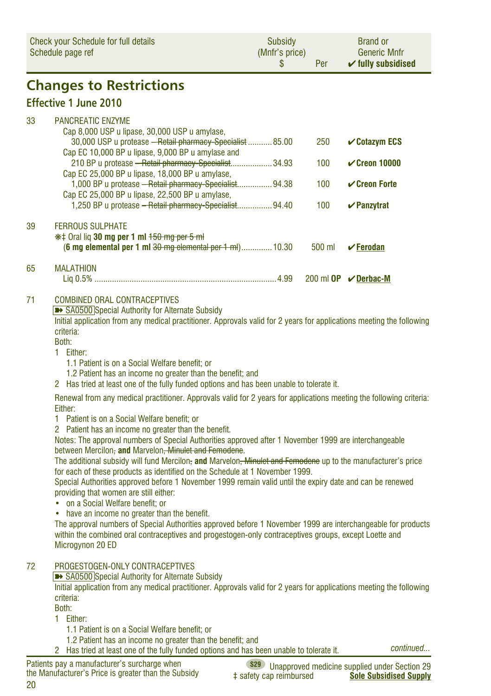| Check your Schedule for full details<br>Schedule page ref |                                                                                                                                                                                                                                                                                                                                                                                                                                                                                                                                                                                                                                                                                                                                                                                                                                                                                                                                                                                                                                                                                                                                                                                                                                                                                                                                                                                                                                                                                                                                                                                        | <b>Subsidy</b><br>(Mnfr's price)<br>\$ | Per    | <b>Brand or</b><br><b>Generic Mnfr</b><br>$\checkmark$ fully subsidised |
|-----------------------------------------------------------|----------------------------------------------------------------------------------------------------------------------------------------------------------------------------------------------------------------------------------------------------------------------------------------------------------------------------------------------------------------------------------------------------------------------------------------------------------------------------------------------------------------------------------------------------------------------------------------------------------------------------------------------------------------------------------------------------------------------------------------------------------------------------------------------------------------------------------------------------------------------------------------------------------------------------------------------------------------------------------------------------------------------------------------------------------------------------------------------------------------------------------------------------------------------------------------------------------------------------------------------------------------------------------------------------------------------------------------------------------------------------------------------------------------------------------------------------------------------------------------------------------------------------------------------------------------------------------------|----------------------------------------|--------|-------------------------------------------------------------------------|
|                                                           | <b>Changes to Restrictions</b>                                                                                                                                                                                                                                                                                                                                                                                                                                                                                                                                                                                                                                                                                                                                                                                                                                                                                                                                                                                                                                                                                                                                                                                                                                                                                                                                                                                                                                                                                                                                                         |                                        |        |                                                                         |
|                                                           | <b>Effective 1 June 2010</b>                                                                                                                                                                                                                                                                                                                                                                                                                                                                                                                                                                                                                                                                                                                                                                                                                                                                                                                                                                                                                                                                                                                                                                                                                                                                                                                                                                                                                                                                                                                                                           |                                        |        |                                                                         |
| 33                                                        | <b>PANCREATIC ENZYME</b><br>Cap 8,000 USP u lipase, 30,000 USP u amylase,<br>30,000 USP u protease - Retail pharmacy-Specialist  85.00                                                                                                                                                                                                                                                                                                                                                                                                                                                                                                                                                                                                                                                                                                                                                                                                                                                                                                                                                                                                                                                                                                                                                                                                                                                                                                                                                                                                                                                 |                                        | 250    | $\mathcal V$ Cotazym ECS                                                |
|                                                           | Cap EC 10,000 BP u lipase, 9,000 BP u amylase and<br>210 BP u protease - Retail pharmacy-Specialist 34.93                                                                                                                                                                                                                                                                                                                                                                                                                                                                                                                                                                                                                                                                                                                                                                                                                                                                                                                                                                                                                                                                                                                                                                                                                                                                                                                                                                                                                                                                              |                                        | 100    | $\checkmark$ Creon 10000                                                |
|                                                           | Cap EC 25,000 BP u lipase, 18,000 BP u amylase,<br>1,000 BP u protease - Retail pharmacy-Specialist 94.38<br>Cap EC 25,000 BP u lipase, 22,500 BP u amylase,                                                                                                                                                                                                                                                                                                                                                                                                                                                                                                                                                                                                                                                                                                                                                                                                                                                                                                                                                                                                                                                                                                                                                                                                                                                                                                                                                                                                                           |                                        | 100    | $\mathcal V$ Creon Forte                                                |
|                                                           | 1,250 BP u protease - Retail pharmacy-Specialist 94.40                                                                                                                                                                                                                                                                                                                                                                                                                                                                                                                                                                                                                                                                                                                                                                                                                                                                                                                                                                                                                                                                                                                                                                                                                                                                                                                                                                                                                                                                                                                                 |                                        | 100    | $\vee$ Panzytrat                                                        |
| 39                                                        | <b>FERROUS SULPHATE</b><br>*# Oral liq 30 mg per 1 ml +50 mg per 5 ml<br>(6 mg elemental per 1 ml 30 mg elemental per 1 ml) 10.30                                                                                                                                                                                                                                                                                                                                                                                                                                                                                                                                                                                                                                                                                                                                                                                                                                                                                                                                                                                                                                                                                                                                                                                                                                                                                                                                                                                                                                                      |                                        | 500 ml | $\sqrt{F}$ erodan                                                       |
| 65                                                        | <b>MALATHION</b>                                                                                                                                                                                                                                                                                                                                                                                                                                                                                                                                                                                                                                                                                                                                                                                                                                                                                                                                                                                                                                                                                                                                                                                                                                                                                                                                                                                                                                                                                                                                                                       |                                        |        | 200 ml OP <b>v</b> Derbac-M                                             |
| 71                                                        | <b>COMBINED ORAL CONTRACEPTIVES</b><br>SA0500 Special Authority for Alternate Subsidy<br>Initial application from any medical practitioner. Approvals valid for 2 years for applications meeting the following<br>criteria:<br>Both:<br>1.<br>Either:<br>1.1 Patient is on a Social Welfare benefit; or<br>1.2 Patient has an income no greater than the benefit; and<br>2 Has tried at least one of the fully funded options and has been unable to tolerate it.<br>Renewal from any medical practitioner. Approvals valid for 2 years for applications meeting the following criteria:<br>Either:<br>1.<br>Patient is on a Social Welfare benefit; or<br>2 Patient has an income no greater than the benefit.<br>Notes: The approval numbers of Special Authorities approved after 1 November 1999 are interchangeable<br>between Mercilon, and Marvelon, Minulet and Femodene.<br>The additional subsidy will fund Mercilon, and Marvelon, Minulet and Femodene up to the manufacturer's price<br>for each of these products as identified on the Schedule at 1 November 1999.<br>Special Authorities approved before 1 November 1999 remain valid until the expiry date and can be renewed<br>providing that women are still either:<br>• on a Social Welfare benefit; or<br>have an income no greater than the benefit.<br>$\bullet$<br>The approval numbers of Special Authorities approved before 1 November 1999 are interchangeable for products<br>within the combined oral contraceptives and progestogen-only contraceptives groups, except Loette and<br>Microgynon 20 ED |                                        |        |                                                                         |
| 72                                                        | PROGESTOGEN-ONLY CONTRACEPTIVES<br>SA0500 Special Authority for Alternate Subsidy<br>Initial application from any medical practitioner. Approvals valid for 2 years for applications meeting the following<br>criteria:<br>Both:<br>1 Either:                                                                                                                                                                                                                                                                                                                                                                                                                                                                                                                                                                                                                                                                                                                                                                                                                                                                                                                                                                                                                                                                                                                                                                                                                                                                                                                                          |                                        |        |                                                                         |
|                                                           | 1.1 Patient is on a Social Welfare benefit; or                                                                                                                                                                                                                                                                                                                                                                                                                                                                                                                                                                                                                                                                                                                                                                                                                                                                                                                                                                                                                                                                                                                                                                                                                                                                                                                                                                                                                                                                                                                                         |                                        |        |                                                                         |
|                                                           | 1.2 Patient has an income no greater than the benefit; and<br>2 Has tried at least one of the fully funded options and has been unable to tolerate it.                                                                                                                                                                                                                                                                                                                                                                                                                                                                                                                                                                                                                                                                                                                                                                                                                                                                                                                                                                                                                                                                                                                                                                                                                                                                                                                                                                                                                                 |                                        |        | continued                                                               |
|                                                           | Patients pay a manufacturer's surcharge when                                                                                                                                                                                                                                                                                                                                                                                                                                                                                                                                                                                                                                                                                                                                                                                                                                                                                                                                                                                                                                                                                                                                                                                                                                                                                                                                                                                                                                                                                                                                           |                                        |        | (\$29) Unannroyed medicine sunnlied under Section 29                    |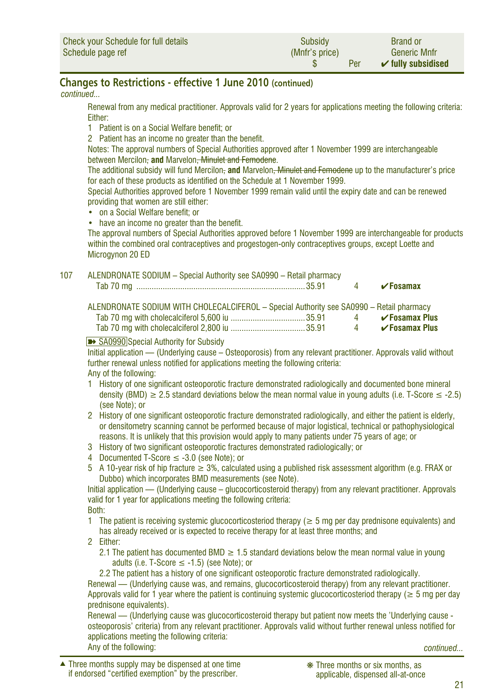| Check your Schedule for full details | Subsidy        | <b>Brand or</b>               |
|--------------------------------------|----------------|-------------------------------|
| Schedule page ref                    | (Mnfr's price) | <b>Generic Mnfr</b>           |
|                                      | Per            | $\checkmark$ fully subsidised |

#### **Changes to Restrictions - effective 1 June 2010 (continued)**

*continued...*

Renewal from any medical practitioner. Approvals valid for 2 years for applications meeting the following criteria: Either:

- 1 Patient is on a Social Welfare benefit: or
- 2 Patient has an income no greater than the benefit.

Notes: The approval numbers of Special Authorities approved after 1 November 1999 are interchangeable between Mercilon- and Marvelon<del>, Minulet and Femodene</del>.

The additional subsidy will fund Mercilon, **and** Marvelon, Minulet and Femodene up to the manufacturer's price for each of these products as identified on the Schedule at 1 November 1999.

Special Authorities approved before 1 November 1999 remain valid until the expiry date and can be renewed providing that women are still either:

- on a Social Welfare benefit; or
- have an income no greater than the benefit.

The approval numbers of Special Authorities approved before 1 November 1999 are interchangeable for products within the combined oral contraceptives and progestogen-only contraceptives groups, except Loette and Microgynon 20 ED

#### 107 ALENDRONATE SODIUM – Special Authority see SA0990 – Retail pharmacy

| 1ab/0 |  |  |
|-------|--|--|
|       |  |  |

| ALENDRONATE SODIUM WITH CHOLECALCIFEROL - Special Authority see SA0990 - Retail pharmacy |          |                           |
|------------------------------------------------------------------------------------------|----------|---------------------------|
|                                                                                          | $\sim$ 4 | $\checkmark$ Fosamax Plus |
|                                                                                          |          | $\checkmark$ Fosamax Plus |

#### **■** SA0990 Special Authority for Subsidy

Initial application — (Underlying cause – Osteoporosis) from any relevant practitioner. Approvals valid without further renewal unless notified for applications meeting the following criteria: Any of the following:

- 1 History of one significant osteoporotic fracture demonstrated radiologically and documented bone mineral density (BMD)  $\geq 2.5$  standard deviations below the mean normal value in young adults (i.e. T-Score  $\leq$  -2.5) (see Note); or
- 2 History of one significant osteoporotic fracture demonstrated radiologically, and either the patient is elderly, or densitometry scanning cannot be performed because of major logistical, technical or pathophysiological reasons. It is unlikely that this provision would apply to many patients under 75 years of age; or
- 3 History of two significant osteoporotic fractures demonstrated radiologically; or
- 4 Documented T-Score ≤ -3.0 (see Note); or
- 5 A 10-year risk of hip fracture ≥ 3%, calculated using a published risk assessment algorithm (e.g. FRAX or Dubbo) which incorporates BMD measurements (see Note).

Initial application — (Underlying cause – glucocorticosteroid therapy) from any relevant practitioner. Approvals valid for 1 year for applications meeting the following criteria: Both:

- 1 The patient is receiving systemic glucocorticosteriod therapy ( $\geq$  5 mg per day prednisone equivalents) and has already received or is expected to receive therapy for at least three months; and
- 2 Either:
	- 2.1 The patient has documented BMD  $\geq$  1.5 standard deviations below the mean normal value in young adults (i.e. T-Score  $\leq$  -1.5) (see Note); or

2.2 The patient has a history of one significant osteoporotic fracture demonstrated radiologically.

Renewal — (Underlying cause was, and remains, glucocorticosteroid therapy) from any relevant practitioner. Approvals valid for 1 year where the patient is continuing systemic glucocorticosteriod therapy ( $\geq 5$  mg per day prednisone equivalents).

Renewal — (Underlying cause was glucocorticosteroid therapy but patient now meets the 'Underlying cause osteoporosis' criteria) from any relevant practitioner. Approvals valid without further renewal unless notified for applications meeting the following criteria: Any of the following: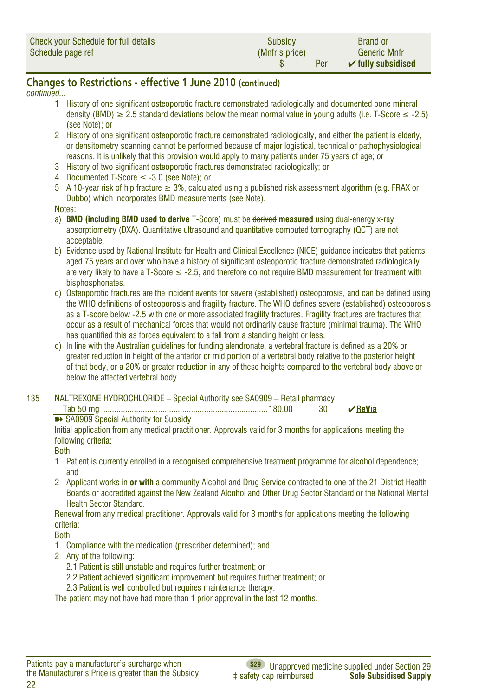| Check your Schedule for full details | Subsidy        | <b>Brand or</b>               |
|--------------------------------------|----------------|-------------------------------|
| Schedule page ref                    | (Mnfr's price) | <b>Generic Mnfr</b>           |
|                                      | Per            | $\checkmark$ fully subsidised |

#### **Changes to Restrictions - effective 1 June 2010 (continued)**

*continued...*

- 1 History of one significant osteoporotic fracture demonstrated radiologically and documented bone mineral density (BMD)  $\geq 2.5$  standard deviations below the mean normal value in young adults (i.e. T-Score  $\leq$  -2.5) (see Note); or
- 2 History of one significant osteoporotic fracture demonstrated radiologically, and either the patient is elderly, or densitometry scanning cannot be performed because of major logistical, technical or pathophysiological reasons. It is unlikely that this provision would apply to many patients under 75 years of age; or
- 3 History of two significant osteoporotic fractures demonstrated radiologically; or
- 4 Documented T-Score ≤ -3.0 (see Note); or
- 5 A 10-year risk of hip fracture ≥ 3%, calculated using a published risk assessment algorithm (e.g. FRAX or Dubbo) which incorporates BMD measurements (see Note).

Notes:

- a) **BMD (including BMD used to derive** T-Score) must be derived **measured** using dual-energy x-ray absorptiometry (DXA). Quantitative ultrasound and quantitative computed tomography (QCT) are not acceptable.
- b) Evidence used by National Institute for Health and Clinical Excellence (NICE) guidance indicates that patients aged 75 years and over who have a history of significant osteoporotic fracture demonstrated radiologically are very likely to have a T-Score  $\leq$  -2.5, and therefore do not require BMD measurement for treatment with bisphosphonates.
- c) Osteoporotic fractures are the incident events for severe (established) osteoporosis, and can be defined using the WHO definitions of osteoporosis and fragility fracture. The WHO defines severe (established) osteoporosis as a T-score below -2.5 with one or more associated fragility fractures. Fragility fractures are fractures that occur as a result of mechanical forces that would not ordinarily cause fracture (minimal trauma). The WHO has quantified this as forces equivalent to a fall from a standing height or less.
- d) In line with the Australian guidelines for funding alendronate, a vertebral fracture is defined as a 20% or greater reduction in height of the anterior or mid portion of a vertebral body relative to the posterior height of that body, or a 20% or greater reduction in any of these heights compared to the vertebral body above or below the affected vertebral body.
- 135 NALTREXONE HYDROCHLORIDE Special Authority see SA0909 Retail pharmacy

| <b>B</b> SA0909 Special Authority for Subsidy |  |  |
|-----------------------------------------------|--|--|

Initial application from any medical practitioner. Approvals valid for 3 months for applications meeting the following criteria:

Both:

- 1 Patient is currently enrolled in a recognised comprehensive treatment programme for alcohol dependence; and
- 2 Applicant works in **or with** a community Alcohol and Drug Service contracted to one of the 24 District Health Boards or accredited against the New Zealand Alcohol and Other Drug Sector Standard or the National Mental Health Sector Standard.

Renewal from any medical practitioner. Approvals valid for 3 months for applications meeting the following criteria:

Both:

- 1 Compliance with the medication (prescriber determined); and
- 2 Any of the following:
	- 2.1 Patient is still unstable and requires further treatment; or
	- 2.2 Patient achieved significant improvement but requires further treatment; or
	- 2.3 Patient is well controlled but requires maintenance therapy.

The patient may not have had more than 1 prior approval in the last 12 months.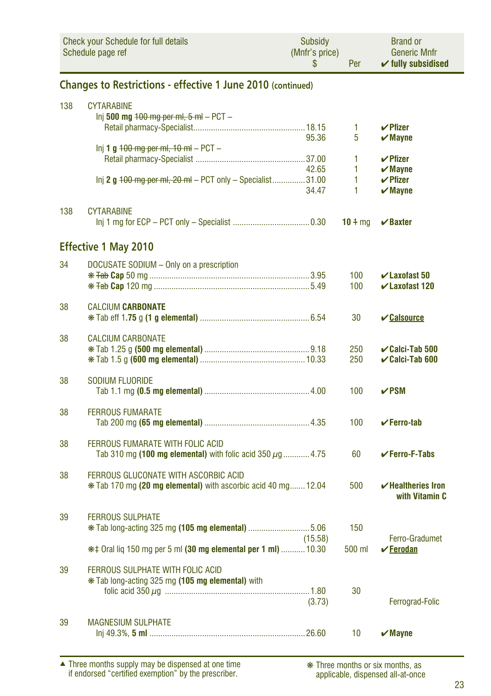|     | <b>Check your Schedule for full details</b><br>Schedule page ref                                      | <b>Subsidy</b><br>(Mnfr's price)<br>\$ | Per         | <b>Brand or</b><br><b>Generic Mnfr</b><br>$\checkmark$ fully subsidised                   |  |  |  |  |  |
|-----|-------------------------------------------------------------------------------------------------------|----------------------------------------|-------------|-------------------------------------------------------------------------------------------|--|--|--|--|--|
|     | Changes to Restrictions - effective 1 June 2010 (continued)                                           |                                        |             |                                                                                           |  |  |  |  |  |
| 138 | <b>CYTARABINE</b><br>lnj 500 mg <del>100 mg per ml, 5 ml</del> – PCT –                                |                                        | 1           | $\boldsymbol{\nu}$ Pfizer                                                                 |  |  |  |  |  |
|     | Inj 1 g $100$ mg per ml, $10$ ml $-$ PCT $-$                                                          | 95.36<br>42.65                         | 5<br>1<br>1 | $\boldsymbol{\mathsf{v}}$ Mayne<br>$\checkmark$ Pfizer<br>$\boldsymbol{\checkmark}$ Mayne |  |  |  |  |  |
|     | Inj 2 g +00 mg per ml, 20 ml - PCT only - Specialist31.00                                             | 34.47                                  | 1<br>1      | $\boldsymbol{\nu}$ Pfizer<br>$\boldsymbol{\mathsf{v}}$ Mayne                              |  |  |  |  |  |
| 138 | <b>CYTARABINE</b>                                                                                     |                                        | $10 + mg$   | $\boldsymbol{\mathsf{v}}$ Baxter                                                          |  |  |  |  |  |
|     | <b>Effective 1 May 2010</b>                                                                           |                                        |             |                                                                                           |  |  |  |  |  |
| 34  | DOCUSATE SODIUM - Only on a prescription                                                              |                                        | 100<br>100  | $\checkmark$ Laxofast 50<br>$\checkmark$ Laxofast 120                                     |  |  |  |  |  |
| 38  | <b>CALCIUM CARBONATE</b>                                                                              |                                        | 30          | <b>∠Calsource</b>                                                                         |  |  |  |  |  |
| 38  | <b>CALCIUM CARBONATE</b>                                                                              |                                        | 250<br>250  | $\checkmark$ Calci-Tab 500<br>$\checkmark$ Calci-Tab 600                                  |  |  |  |  |  |
| 38  | <b>SODIUM FLUORIDE</b>                                                                                |                                        | 100         | $\nu$ PSM                                                                                 |  |  |  |  |  |
| 38  | <b>FERROUS FUMARATE</b>                                                                               |                                        | 100         | $\checkmark$ Ferro-tab                                                                    |  |  |  |  |  |
| 38  | FERROUS FUMARATE WITH FOLIC ACID<br>Tab 310 mg (100 mg elemental) with folic acid 350 $\mu$ g4.75     |                                        | 60          | $\checkmark$ Ferro-F-Tabs                                                                 |  |  |  |  |  |
| 38  | FERROUS GLUCONATE WITH ASCORBIC ACID<br>* Tab 170 mg (20 mg elemental) with ascorbic acid 40 mg 12.04 |                                        | 500         | $\checkmark$ Healtheries Iron<br>with Vitamin C                                           |  |  |  |  |  |
| 39  | <b>FERROUS SULPHATE</b><br><b>*</b> Tab long-acting 325 mg (105 mg elemental) 5.06                    | (15.58)                                | 150         | Ferro-Gradumet                                                                            |  |  |  |  |  |
|     | ## Oral liq 150 mg per 5 ml (30 mg elemental per 1 ml)  10.30                                         |                                        | 500 ml      | $\checkmark$ Ferodan                                                                      |  |  |  |  |  |
| 39  | FERROUS SULPHATE WITH FOLIC ACID<br>* Tab long-acting 325 mg (105 mg elemental) with                  | (3.73)                                 | 30          | Ferrograd-Folic                                                                           |  |  |  |  |  |
| 39  | <b>MAGNESIUM SULPHATE</b>                                                                             |                                        | 10          | $\boldsymbol{\mathsf{v}}$ Mayne                                                           |  |  |  |  |  |

Three months supply may be dispensed at one time if endorsed "certified exemption" by the prescriber. ▲ ❋ Three months or six months, as

applicable, dispensed all-at-once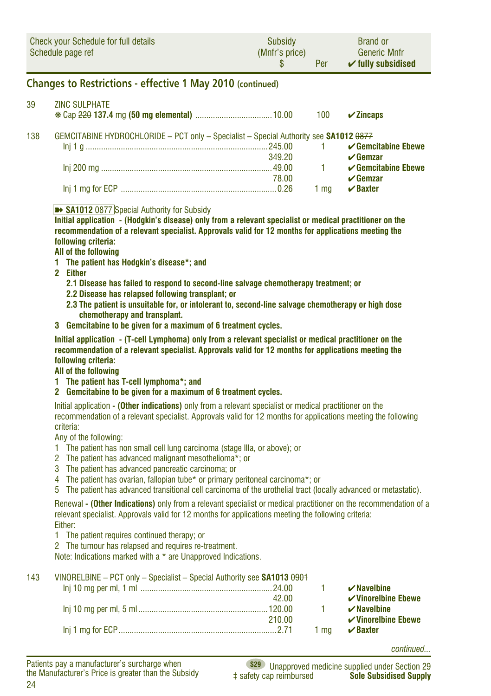| <b>Check your Schedule for full details</b> | Subsidy        | <b>Brand or</b>               |
|---------------------------------------------|----------------|-------------------------------|
| Schedule page ref                           | (Mnfr's price) | <b>Generic Mnfr</b>           |
|                                             | Per            | $\checkmark$ fully subsidised |

#### **Changes to Restrictions - effective 1 May 2010 (continued)**

#### 39 ZINC SULPHATE ❋ Cap 220 **137.4** mg **(50 mg elemental)** ...................................10.00 100 ✔**Zincaps** 138 GEMCITABINE HYDROCHLORIDE – PCT only – Specialist – Special Authority see **SA1012 <del>0877</del>**<br>Juli 1.0 **Cemcitabine Fhewe**  Inj 1 g ...................................................................................245.00 1 ✔**Gemcitabine Ebewe √ Gemzar**<br>✓ Gemcitabine Fhewe Inj 200 mg ..............................................................................49.00 1 ✔**Gemcitabine Ebewe** 78.00 ✔**Gemzar** Inj 1 mg for ECP .......................................................................0.26 1 mg ✔**Baxter**

#### ■ **SA1012 0877** Special Authority for Subsidy

**Initial application - (Hodgkin's disease) only from a relevant specialist or medical practitioner on the recommendation of a relevant specialist. Approvals valid for 12 months for applications meeting the following criteria:**

#### **All of the following**

- **1 The patient has Hodgkin's disease\*; and**
- **2 Either**
	- **2.1 Disease has failed to respond to second-line salvage chemotherapy treatment; or**
	- **2.2 Disease has relapsed following transplant; or**
	- **2.3 The patient is unsuitable for, or intolerant to, second-line salvage chemotherapy or high dose chemotherapy and transplant.**
- **3 Gemcitabine to be given for a maximum of 6 treatment cycles.**

**Initial application - (T-cell Lymphoma) only from a relevant specialist or medical practitioner on the recommendation of a relevant specialist. Approvals valid for 12 months for applications meeting the following criteria:**

#### **All of the following**

- **1 The patient has T-cell lymphoma\*; and**
- **2 Gemcitabine to be given for a maximum of 6 treatment cycles.**

Initial application **- (Other indications)** only from a relevant specialist or medical practitioner on the recommendation of a relevant specialist. Approvals valid for 12 months for applications meeting the following criteria:

Any of the following:

- 1 The patient has non small cell lung carcinoma (stage IIIa, or above); or
- 2 The patient has advanced malignant mesothelioma\*; or
- 3 The patient has advanced pancreatic carcinoma; or
- 4 The patient has ovarian, fallopian tube\* or primary peritoneal carcinoma\*; or
- 5 The patient has advanced transitional cell carcinoma of the urothelial tract (locally advanced or metastatic).

Renewal **- (Other Indications)** only from a relevant specialist or medical practitioner on the recommendation of a relevant specialist. Approvals valid for 12 months for applications meeting the following criteria: Either:

- 1 The patient requires continued therapy; or
- 2 The tumour has relapsed and requires re-treatment.

Note: Indications marked with a \* are Unapproved Indications.

| 143 | VINORELBINE - PCT only - Specialist - Special Authority see <b>SA1013 0901</b> |        |      |                                     |
|-----|--------------------------------------------------------------------------------|--------|------|-------------------------------------|
|     |                                                                                |        |      | $\boldsymbol{\nu}$ Navelbine        |
|     |                                                                                | 42.00  |      | $\checkmark$ Vinorelbine Ebewe      |
|     |                                                                                |        |      | $\boldsymbol{\checkmark}$ Navelbine |
|     |                                                                                | 210.00 |      | $\checkmark$ Vinorelbine Ebewe      |
|     |                                                                                |        | 1 ma | $\vee$ Baxter                       |

*continued...*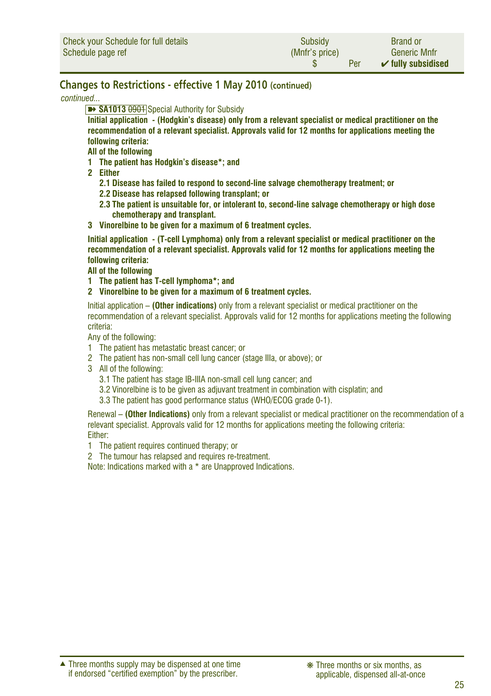#### **Changes to Restrictions - effective 1 May 2010 (continued)**

*continued...*

**EXAMPLE SA1013 0901** Special Authority for Subsidy

**Initial application - (Hodgkin's disease) only from a relevant specialist or medical practitioner on the recommendation of a relevant specialist. Approvals valid for 12 months for applications meeting the following criteria:**

**All of the following**

- **1 The patient has Hodgkin's disease\*; and**
- **2 Either**
	- **2.1 Disease has failed to respond to second-line salvage chemotherapy treatment; or**
	- **2.2 Disease has relapsed following transplant; or**
	- **2.3 The patient is unsuitable for, or intolerant to, second-line salvage chemotherapy or high dose chemotherapy and transplant.**
- **3 Vinorelbine to be given for a maximum of 6 treatment cycles.**

**Initial application - (T-cell Lymphoma) only from a relevant specialist or medical practitioner on the recommendation of a relevant specialist. Approvals valid for 12 months for applications meeting the following criteria:**

#### **All of the following**

- **1 The patient has T-cell lymphoma\*; and**
- **2 Vinorelbine to be given for a maximum of 6 treatment cycles.**

Initial application – **(Other indications)** only from a relevant specialist or medical practitioner on the recommendation of a relevant specialist. Approvals valid for 12 months for applications meeting the following criteria:

Any of the following:

- 1 The patient has metastatic breast cancer; or
- 2 The patient has non-small cell lung cancer (stage IIIa, or above); or
- 3 All of the following:
	- 3.1 The patient has stage IB-IIIA non-small cell lung cancer; and
	- 3.2 Vinorelbine is to be given as adjuvant treatment in combination with cisplatin; and
	- 3.3 The patient has good performance status (WHO/ECOG grade 0-1).

Renewal – **(Other Indications)** only from a relevant specialist or medical practitioner on the recommendation of a relevant specialist. Approvals valid for 12 months for applications meeting the following criteria: Either:

- 1 The patient requires continued therapy; or
- 2 The tumour has relapsed and requires re-treatment.

Note: Indications marked with a \* are Unapproved Indications.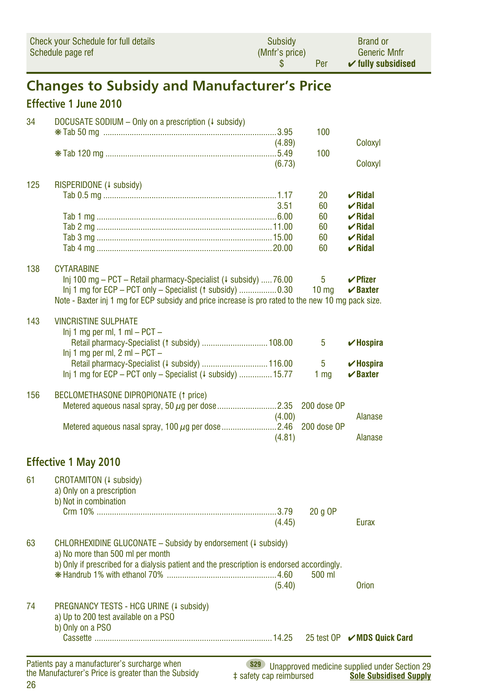| Check your Schedule for full details | Subsidy        | <b>Brand or</b>               |
|--------------------------------------|----------------|-------------------------------|
| Schedule page ref                    | (Mnfr's price) | <b>Generic Mnfr</b>           |
|                                      | Per            | $\checkmark$ fully subsidised |

# **Changes to Subsidy and Manufacturer's Price**

### **Effective 1 June 2010**

| 34  | DOCUSATE SODIUM $-$ Only on a prescription ( $\downarrow$ subsidy)                                                                         |        | 100              |                                                      |
|-----|--------------------------------------------------------------------------------------------------------------------------------------------|--------|------------------|------------------------------------------------------|
|     |                                                                                                                                            | (4.89) |                  | Coloxyl                                              |
|     |                                                                                                                                            |        | 100              |                                                      |
|     |                                                                                                                                            | (6.73) |                  | Coloxyl                                              |
| 125 | RISPERIDONE (+ subsidy)                                                                                                                    |        |                  |                                                      |
|     |                                                                                                                                            |        | 20               | $\boldsymbol{\nu}$ Ridal                             |
|     |                                                                                                                                            | 3.51   | 60               | $\vee$ Ridal                                         |
|     |                                                                                                                                            |        | 60               | $\boldsymbol{\nu}$ Ridal                             |
|     |                                                                                                                                            |        | 60<br>60         | $\boldsymbol{\nu}$ Ridal                             |
|     |                                                                                                                                            |        | 60               | $\boldsymbol{\nu}$ Ridal<br>$\boldsymbol{\nu}$ Ridal |
|     |                                                                                                                                            |        |                  |                                                      |
| 138 | <b>CYTARABINE</b>                                                                                                                          |        | 5                | $\vee$ Pfizer                                        |
|     | Inj 100 mg – PCT – Retail pharmacy-Specialist ( $\downarrow$ subsidy)  76.00<br>Inj 1 mg for ECP - PCT only - Specialist (1 subsidy)  0.30 |        | 10 <sub>mg</sub> | $\vee$ Baxter                                        |
|     | Note - Baxter inj 1 mg for ECP subsidy and price increase is pro rated to the new 10 mg pack size.                                         |        |                  |                                                      |
| 143 | <b>VINCRISTINE SULPHATE</b>                                                                                                                |        |                  |                                                      |
|     | $Inj 1$ mg per ml, $1$ ml $-$ PCT $-$                                                                                                      |        |                  |                                                      |
|     | Retail pharmacy-Specialist (1 subsidy)  108.00                                                                                             |        | 5                | $\checkmark$ Hospira                                 |
|     | $lnj$ 1 mg per ml, 2 ml – PCT –                                                                                                            |        |                  |                                                      |
|     | Retail pharmacy-Specialist (4 subsidy)  116.00                                                                                             |        | 5                | $\checkmark$ Hospira                                 |
|     | Inj 1 mg for ECP - PCT only - Specialist (4 subsidy)  15.77                                                                                |        | 1 <sub>mq</sub>  | $\vee$ Baxter                                        |
| 156 | BECLOMETHASONE DIPROPIONATE (1 price)                                                                                                      |        |                  |                                                      |
|     |                                                                                                                                            |        | 200 dose OP      |                                                      |
|     |                                                                                                                                            | (4.00) |                  | Alanase                                              |
|     |                                                                                                                                            |        | 200 dose OP      |                                                      |
|     |                                                                                                                                            | (4.81) |                  | Alanase                                              |
|     | <b>Effective 1 May 2010</b>                                                                                                                |        |                  |                                                      |
| 61  | CROTAMITON (+ subsidy)                                                                                                                     |        |                  |                                                      |
|     | a) Only on a prescription                                                                                                                  |        |                  |                                                      |
|     | b) Not in combination                                                                                                                      |        |                  |                                                      |
|     |                                                                                                                                            |        | $20q$ OP         |                                                      |
|     |                                                                                                                                            | (4.45) |                  | Eurax                                                |
|     |                                                                                                                                            |        |                  |                                                      |
| 63  | CHLORHEXIDINE GLUCONATE - Subsidy by endorsement (# subsidy)                                                                               |        |                  |                                                      |
|     | a) No more than 500 ml per month<br>b) Only if prescribed for a dialysis patient and the prescription is endorsed accordingly.             |        |                  |                                                      |
|     |                                                                                                                                            |        | 500 ml           |                                                      |
|     |                                                                                                                                            | (5.40) |                  | <b>Orion</b>                                         |
|     |                                                                                                                                            |        |                  |                                                      |
| 74  | PREGNANCY TESTS - HCG URINE (4 subsidy)                                                                                                    |        |                  |                                                      |
|     | a) Up to 200 test available on a PSO                                                                                                       |        |                  |                                                      |
|     | b) Only on a PSO                                                                                                                           |        |                  |                                                      |
|     |                                                                                                                                            |        |                  | 25 test OP <del>V</del> MDS Quick Card               |
|     | Definite note a monetarity of a conclusion telephone<br>$\sim$                                                                             |        |                  |                                                      |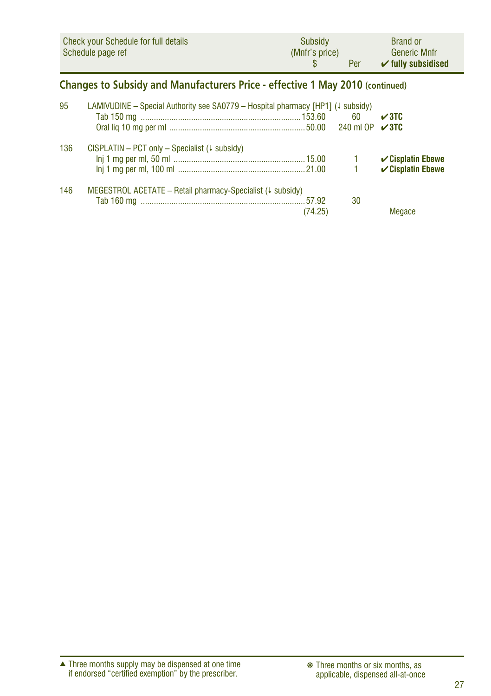|                                                                               | <b>Check your Schedule for full details</b><br>Schedule page ref                              | Subsidy<br>(Mnfr's price)<br>\$. | Per          | <b>Brand or</b><br><b>Generic Mnfr</b><br>$\checkmark$ fully subsidised |  |  |  |
|-------------------------------------------------------------------------------|-----------------------------------------------------------------------------------------------|----------------------------------|--------------|-------------------------------------------------------------------------|--|--|--|
| Changes to Subsidy and Manufacturers Price - effective 1 May 2010 (continued) |                                                                                               |                                  |              |                                                                         |  |  |  |
| 95                                                                            | LAMIVUDINE – Special Authority see $SA0779$ – Hospital pharmacy [HP1] ( $\downarrow$ subsidy) |                                  | 60           | $\sqrt{3}$ TC<br>$\sqrt{3}$ TC                                          |  |  |  |
| 136                                                                           | $CISPLATIN - PCT only - Specialist$ (+ subsidy)                                               |                                  | $\mathbf{1}$ | $\checkmark$ Cisplatin Ebewe<br>$\checkmark$ Cisplatin Ebewe            |  |  |  |
| 146                                                                           | MEGESTROL ACETATE - Retail pharmacy-Specialist $(1 \text{ subsidy})$                          | (74.25)                          | 30           | Megace                                                                  |  |  |  |

Three months supply may be dispensed at one time if endorsed "certified exemption" by the prescriber. ▲ ❋ Three months or six months, as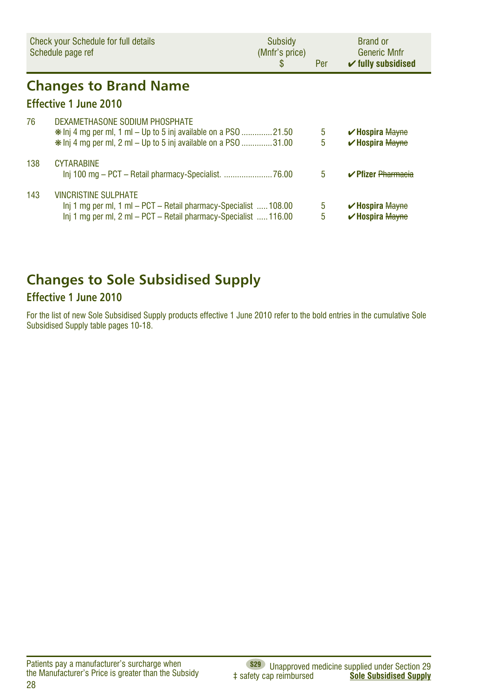|     | Check your Schedule for full details<br>Schedule page ref                                                                                                                    | Subsidy<br>(Mnfr's price)<br>S | Per    | <b>Brand or</b><br><b>Generic Mnfr</b><br>$\checkmark$ fully subsidised |
|-----|------------------------------------------------------------------------------------------------------------------------------------------------------------------------------|--------------------------------|--------|-------------------------------------------------------------------------|
|     | <b>Changes to Brand Name</b>                                                                                                                                                 |                                |        |                                                                         |
|     | Effective 1 June 2010                                                                                                                                                        |                                |        |                                                                         |
| 76  | DEXAMETHASONE SODIUM PHOSPHATE<br>$\ast$ lnj 4 mg per ml, 1 ml – Up to 5 inj available on a PS0 21.50<br>$\ast$ lnj 4 mg per ml, 2 ml – Up to 5 inj available on a PS0 31.00 |                                | 5<br>5 | $\vee$ Hospira Mayne<br><b>∕Hospira Mayne</b>                           |
| 138 | <b>CYTARABINE</b>                                                                                                                                                            |                                | 5      | <b>∠Pfizer Pharmacia</b>                                                |
| 143 | <b>VINCRISTINE SULPHATE</b><br>Inj 1 mg per ml, 1 ml – PCT – Retail pharmacy-Specialist  108.00<br>Inj 1 mg per ml, 2 ml – PCT – Retail pharmacy-Specialist  116.00          |                                | 5<br>5 | $\vee$ Hospira Mayne<br>$\vee$ Hospira Mayne                            |

# **Changes to Sole Subsidised Supply**

#### **Effective 1 June 2010**

For the list of new Sole Subsidised Supply products effective 1 June 2010 refer to the bold entries in the cumulative Sole Subsidised Supply table pages 10-18.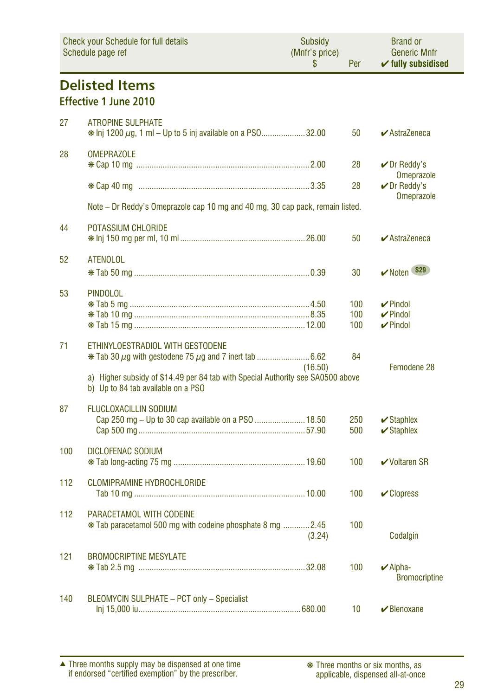| <b>Check your Schedule for full details</b><br>Schedule page ref |                                                                                                                                                           | Subsidy<br>(Mnfr's price)<br>\$ | Per               | <b>Brand or</b><br><b>Generic Mnfr</b><br>$\checkmark$ fully subsidised |
|------------------------------------------------------------------|-----------------------------------------------------------------------------------------------------------------------------------------------------------|---------------------------------|-------------------|-------------------------------------------------------------------------|
|                                                                  | <b>Delisted Items</b><br><b>Effective 1 June 2010</b>                                                                                                     |                                 |                   |                                                                         |
| 27                                                               | <b>ATROPINE SULPHATE</b><br>* Inj 1200 $\mu$ g, 1 ml – Up to 5 inj available on a PS032.00                                                                |                                 | 50                | $\blacktriangleright$ AstraZeneca                                       |
| 28                                                               | <b>OMEPRAZOLE</b>                                                                                                                                         |                                 | 28                | $\nu$ Dr Reddy's<br><b>Omeprazole</b>                                   |
|                                                                  |                                                                                                                                                           |                                 | 28                | $\nu$ Dr Reddy's<br><b>Omeprazole</b>                                   |
|                                                                  | Note - Dr Reddy's Omeprazole cap 10 mg and 40 mg, 30 cap pack, remain listed.                                                                             |                                 |                   |                                                                         |
| 44                                                               | POTASSIUM CHLORIDE                                                                                                                                        |                                 | 50                | $\blacktriangleright$ AstraZeneca                                       |
| 52                                                               | <b>ATENOLOL</b>                                                                                                                                           |                                 | 30                | <b>S29</b><br>$\nu$ Noten                                               |
| 53                                                               | <b>PINDOLOL</b>                                                                                                                                           |                                 | 100<br>100<br>100 | $\nu$ Pindol<br>$\nu$ Pindol<br>$\nu$ Pindol                            |
| 71                                                               | ETHINYLOESTRADIOL WITH GESTODENE<br>a) Higher subsidy of \$14.49 per 84 tab with Special Authority see SA0500 above<br>b) Up to 84 tab available on a PSO | (16.50)                         | 84                | Femodene 28                                                             |
| 87                                                               | <b>FLUCLOXACILLIN SODIUM</b>                                                                                                                              |                                 | 250<br>500        | $\triangleright$ Staphlex<br>$\checkmark$ Staphlex                      |
| 100                                                              | DICLOFENAC SODIUM                                                                                                                                         |                                 | 100               | <b>√Voltaren SR</b>                                                     |
| 112                                                              | <b>CLOMIPRAMINE HYDROCHLORIDE</b>                                                                                                                         |                                 | 100               | $\mathcal V$ Clopress                                                   |
| 112                                                              | PARACETAMOL WITH CODEINE<br>* Tab paracetamol 500 mg with codeine phosphate 8 mg 2.45                                                                     | (3.24)                          | 100               | Codalgin                                                                |
| 121                                                              | <b>BROMOCRIPTINE MESYLATE</b>                                                                                                                             |                                 | 100               | $\blacktriangleright$ Alpha-<br><b>Bromocriptine</b>                    |
| 140                                                              | BLEOMYCIN SULPHATE - PCT only - Specialist                                                                                                                |                                 | 10                | $\vee$ Blenoxane                                                        |

Three months supply may be dispensed at one time if endorsed "certified exemption" by the prescriber. ▲ ❋ Three months or six months, as

applicable, dispensed all-at-once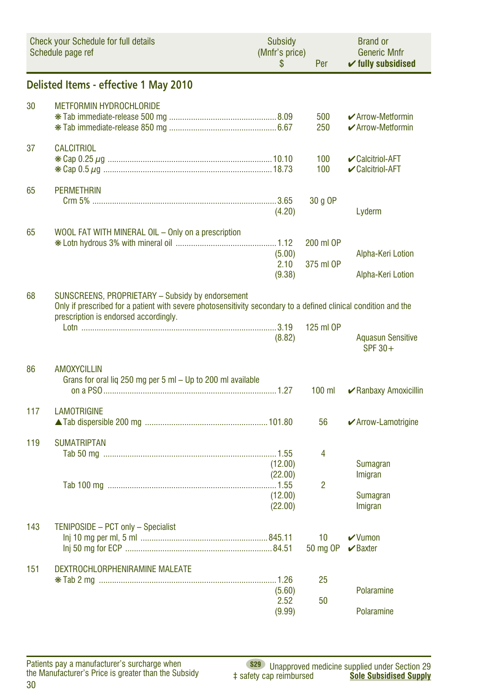|     | <b>Check your Schedule for full details</b><br>Schedule page ref                                                                                                                                             | Subsidy<br>(Mnfr's price)<br>\$          | Per                    | <b>Brand or</b><br><b>Generic Mnfr</b><br>$\checkmark$ fully subsidised |
|-----|--------------------------------------------------------------------------------------------------------------------------------------------------------------------------------------------------------------|------------------------------------------|------------------------|-------------------------------------------------------------------------|
|     | Delisted Items - effective 1 May 2010                                                                                                                                                                        |                                          |                        |                                                                         |
| 30  | <b>METFORMIN HYDROCHLORIDE</b>                                                                                                                                                                               |                                          | 500<br>250             | $\blacktriangleright$ Arrow-Metformin<br>✔ Arrow-Metformin              |
| 37  | <b>CALCITRIOL</b>                                                                                                                                                                                            |                                          | 100<br>100             | ✔ Calcitriol-AFT<br>✔ Calcitriol-AFT                                    |
| 65  | <b>PERMETHRIN</b>                                                                                                                                                                                            | (4.20)                                   | 30 g OP                | Lyderm                                                                  |
| 65  | WOOL FAT WITH MINERAL OIL - Only on a prescription                                                                                                                                                           | (5.00)<br>2.10<br>(9.38)                 | 200 ml OP<br>375 ml OP | Alpha-Keri Lotion<br>Alpha-Keri Lotion                                  |
| 68  | SUNSCREENS, PROPRIETARY - Subsidy by endorsement<br>Only if prescribed for a patient with severe photosensitivity secondary to a defined clinical condition and the<br>prescription is endorsed accordingly. | (8.82)                                   | 125 ml OP              | <b>Aquasun Sensitive</b><br>SPF 30+                                     |
| 86  | <b>AMOXYCILLIN</b><br>Grans for oral lig 250 mg per 5 ml - Up to 200 ml available                                                                                                                            |                                          | $100$ ml               | ✔ Ranbaxy Amoxicillin                                                   |
| 117 | <b>LAMOTRIGINE</b>                                                                                                                                                                                           |                                          | 56                     | ✔ Arrow-Lamotrigine                                                     |
| 119 | <b>SUMATRIPTAN</b>                                                                                                                                                                                           | (12.00)<br>(22.00)<br>(12.00)<br>(22.00) | 4<br>$\overline{2}$    | Sumagran<br>Imigran<br>Sumagran<br>Imigran                              |
| 143 | TENIPOSIDE - PCT only - Specialist                                                                                                                                                                           |                                          | 10<br>50 mg OP         | $\vee$ Vumon<br>$\vee$ Baxter                                           |
| 151 | DEXTROCHLORPHENIRAMINE MALEATE                                                                                                                                                                               | (5.60)<br>2.52<br>(9.99)                 | 25<br>50               | Polaramine<br>Polaramine                                                |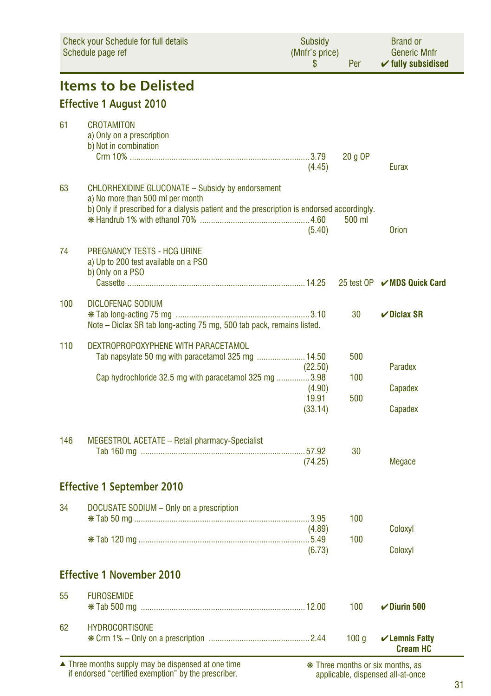| <b>Check your Schedule for full details</b><br>Schedule page ref |                                                                                                                                                                                           | <b>Subsidy</b><br>(Mnfr's price)<br>S<br>Per |            | <b>Brand or</b><br><b>Generic Mnfr</b><br>$\checkmark$ fully subsidised |  |
|------------------------------------------------------------------|-------------------------------------------------------------------------------------------------------------------------------------------------------------------------------------------|----------------------------------------------|------------|-------------------------------------------------------------------------|--|
|                                                                  | <b>Items to be Delisted</b>                                                                                                                                                               |                                              |            |                                                                         |  |
|                                                                  | <b>Effective 1 August 2010</b>                                                                                                                                                            |                                              |            |                                                                         |  |
| 61                                                               | <b>CROTAMITON</b><br>a) Only on a prescription<br>b) Not in combination                                                                                                                   | (4.45)                                       | 20 g OP    | Eurax                                                                   |  |
| 63                                                               | <b>CHLORHEXIDINE GLUCONATE - Subsidy by endorsement</b><br>a) No more than 500 ml per month<br>b) Only if prescribed for a dialysis patient and the prescription is endorsed accordingly. | (5.40)                                       | 500 ml     | <b>Orion</b>                                                            |  |
| 74                                                               | <b>PREGNANCY TESTS - HCG URINE</b><br>a) Up to 200 test available on a PSO<br>b) Only on a PSO                                                                                            |                                              |            | 25 test OP  MDS Quick Card                                              |  |
| 100                                                              | DICLOFENAC SODIUM<br>Note - Diclax SR tab long-acting 75 mg, 500 tab pack, remains listed.                                                                                                |                                              | 30         | $\vee$ Diclax SR                                                        |  |
| 110                                                              | DEXTROPROPOXYPHENE WITH PARACETAMOL<br>Tab napsylate 50 mg with paracetamol 325 mg  14.50                                                                                                 | (22.50)                                      | 500        | Paradex                                                                 |  |
|                                                                  | Cap hydrochloride 32.5 mg with paracetamol 325 mg 3.98                                                                                                                                    | (4.90)<br>19.91<br>(33.14)                   | 100<br>500 | Capadex<br>Capadex                                                      |  |
| 146                                                              | MEGESTROL ACETATE - Retail pharmacy-Specialist                                                                                                                                            | (74.25)                                      | 30         | Megace                                                                  |  |
|                                                                  | <b>Effective 1 September 2010</b>                                                                                                                                                         |                                              |            |                                                                         |  |
| 34                                                               | DOCUSATE SODIUM - Only on a prescription                                                                                                                                                  | (4.89)                                       | 100<br>100 | Coloxyl                                                                 |  |
|                                                                  |                                                                                                                                                                                           | (6.73)                                       |            | Coloxyl                                                                 |  |
|                                                                  | <b>Effective 1 November 2010</b>                                                                                                                                                          |                                              |            |                                                                         |  |
| 55                                                               | <b>FUROSEMIDE</b>                                                                                                                                                                         |                                              | 100        | $\nu$ Diurin 500                                                        |  |
| 62                                                               | <b>HYDROCORTISONE</b>                                                                                                                                                                     |                                              | 100q       | $\checkmark$ Lemnis Fatty<br><b>Cream HC</b>                            |  |
|                                                                  | ▲ Three months supply may be dispensed at one time<br>if endorsed "certified exemption" by the prescriber.                                                                                |                                              |            | * Three months or six months, as<br>applicable, dispensed all-at-once   |  |

applicable, dispensed all-at-once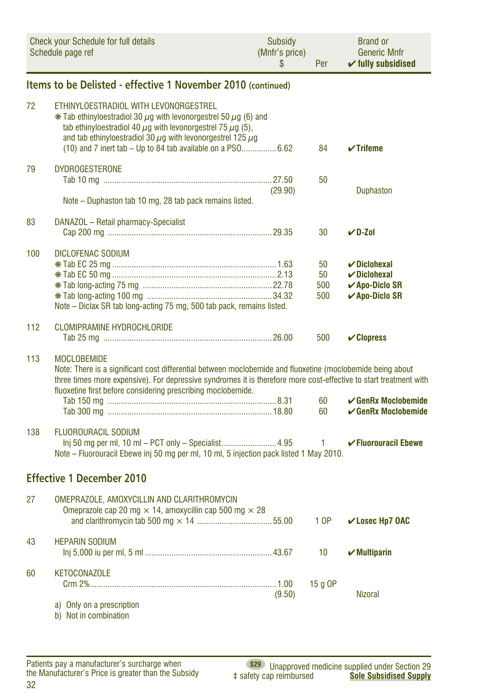| <b>Check your Schedule for full details</b><br>Schedule page ref |                                                                                                                                                                                                                                                                                                                                    | Subsidy<br>(Mnfr's price)<br>\$ | Per                    | <b>Brand or</b><br><b>Generic Mnfr</b><br>$\checkmark$ fully subsidised                            |
|------------------------------------------------------------------|------------------------------------------------------------------------------------------------------------------------------------------------------------------------------------------------------------------------------------------------------------------------------------------------------------------------------------|---------------------------------|------------------------|----------------------------------------------------------------------------------------------------|
|                                                                  | Items to be Delisted - effective 1 November 2010 (continued)                                                                                                                                                                                                                                                                       |                                 |                        |                                                                                                    |
| 72                                                               | ETHINYLOESTRADIOL WITH LEVONORGESTREL<br>$*$ Tab ethinyloestradiol 30 $\mu$ g with levonorgestrel 50 $\mu$ g (6) and<br>tab ethinyloestradiol 40 $\mu$ q with levonorgestrel 75 $\mu$ q (5),<br>and tab ethinyloestradiol 30 $\mu$ g with levonorgestrel 125 $\mu$ g<br>(10) and 7 inert tab - Up to 84 tab available on a PSO6.62 |                                 | 84                     | $\checkmark$ Trifeme                                                                               |
| 79                                                               | <b>DYDROGESTERONE</b><br>Note - Duphaston tab 10 mg, 28 tab pack remains listed.                                                                                                                                                                                                                                                   | (29.90)                         | 50                     | <b>Duphaston</b>                                                                                   |
| 83                                                               | DANAZOL - Retail pharmacy-Specialist                                                                                                                                                                                                                                                                                               |                                 | 30                     | $V$ D-Zol                                                                                          |
| 100                                                              | <b>DICLOFENAC SODIUM</b><br>Note – Diclax SR tab long-acting 75 mg, 500 tab pack, remains listed.                                                                                                                                                                                                                                  |                                 | 50<br>50<br>500<br>500 | $\boldsymbol{\nu}$ Diclohexal<br>$\nu$ Diclohexal<br><b>∠</b> Apo-Diclo SR<br><b>∠Apo-Diclo SR</b> |
| 112                                                              | <b>CLOMIPRAMINE HYDROCHLORIDE</b>                                                                                                                                                                                                                                                                                                  |                                 | 500                    | $\mathcal V$ Clopress                                                                              |
| 113                                                              | <b>MOCLOBEMIDE</b><br>Note: There is a significant cost differential between moclobemide and fluoxetine (moclobemide being about<br>three times more expensive). For depressive syndromes it is therefore more cost-effective to start treatment with<br>fluoxetine first before considering prescribing moclobemide.              |                                 | 60<br>60               | $\smash{\checkmark}$ GenRx Moclobemide<br>$\smash{\checkmark}$ GenRx Moclobemide                   |
| 138                                                              | <b>FLUOROURACIL SODIUM</b><br>Note - Fluorouracil Ebewe inj 50 mg per ml, 10 ml, 5 injection pack listed 1 May 2010.                                                                                                                                                                                                               |                                 | 1.                     | <b>√Fluorouracil Ebewe</b>                                                                         |
|                                                                  | <b>Effective 1 December 2010</b>                                                                                                                                                                                                                                                                                                   |                                 |                        |                                                                                                    |
| 27                                                               | OMEPRAZOLE, AMOXYCILLIN AND CLARITHROMYCIN<br>Omeprazole cap 20 mg $\times$ 14, amoxycillin cap 500 mg $\times$ 28                                                                                                                                                                                                                 |                                 | 1 OP                   | <b>∠Losec Hp7 OAC</b>                                                                              |
| 43                                                               | <b>HEPARIN SODIUM</b>                                                                                                                                                                                                                                                                                                              |                                 | 10                     | $\boldsymbol{\checkmark}$ Multiparin                                                               |
| 60                                                               | <b>KETOCONAZOLE</b><br>a) Only on a prescription<br>b) Not in combination                                                                                                                                                                                                                                                          | (9.50)                          | 15 g OP                | <b>Nizoral</b>                                                                                     |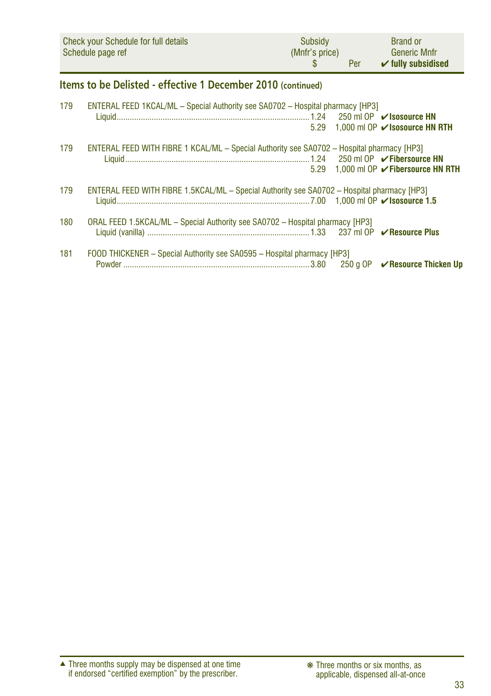| Check your Schedule for full details | Subsidy        | <b>Brand or</b>               |
|--------------------------------------|----------------|-------------------------------|
| Schedule page ref                    | (Mnfr's price) | <b>Generic Mnfr</b>           |
|                                      | Per            | $\checkmark$ fully subsidised |

### **Items to be Delisted - effective 1 December 2010 (continued)**

| 179 | <b>ENTERAL FEED 1KCAL/ML - Special Authority see SA0702 - Hospital pharmacy [HP3]</b>       |  |
|-----|---------------------------------------------------------------------------------------------|--|
|     |                                                                                             |  |
|     | 5.29 1.000 ml OP ✔ Isosource HN RTH                                                         |  |
| 179 | ENTERAL FEED WITH FIBRE 1 KCAL/ML - Special Authority see SA0702 - Hospital pharmacy [HP3]  |  |
|     |                                                                                             |  |
|     | 5.29 1.000 ml OP ✔ Fibersource HN RTH                                                       |  |
| 179 | ENTERAL FEED WITH FIBRE 1.5KCAL/ML - Special Authority see SA0702 - Hospital pharmacy [HP3] |  |
|     |                                                                                             |  |
| 180 | ORAL FEED 1.5KCAL/ML - Special Authority see SA0702 - Hospital pharmacy [HP3]               |  |
| 181 | FOOD THICKENER - Special Authority see SA0595 - Hospital pharmacy [HP3]                     |  |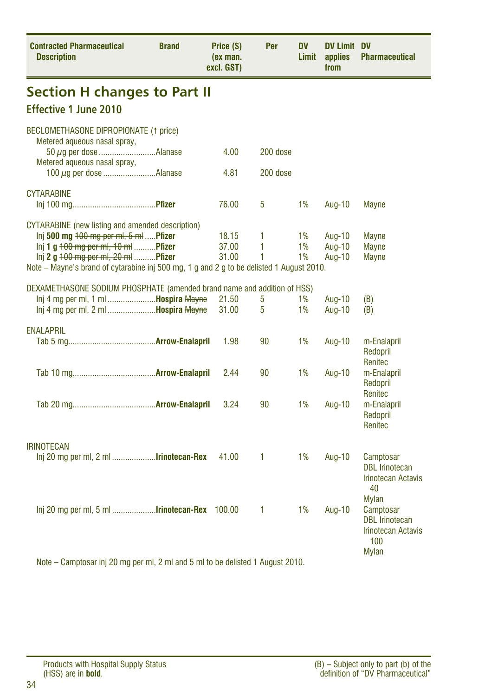| <b>Contracted Pharmaceutical</b><br><b>Description</b>                                   | <b>Brand</b> | Price (\$)<br>(ex man.<br>excl. GST) | Per      | DV<br>Limit | <b>DV Limit DV</b><br>applies<br>from | <b>Pharmaceutical</b>                                                                           |
|------------------------------------------------------------------------------------------|--------------|--------------------------------------|----------|-------------|---------------------------------------|-------------------------------------------------------------------------------------------------|
| <b>Section H changes to Part II</b>                                                      |              |                                      |          |             |                                       |                                                                                                 |
| Effective 1 June 2010                                                                    |              |                                      |          |             |                                       |                                                                                                 |
| BECLOMETHASONE DIPROPIONATE (1 price)<br>Metered aqueous nasal spray,                    |              |                                      |          |             |                                       |                                                                                                 |
| Metered aqueous nasal spray,                                                             |              | 4.00                                 | 200 dose |             |                                       |                                                                                                 |
|                                                                                          |              | 4.81                                 | 200 dose |             |                                       |                                                                                                 |
| <b>CYTARABINE</b>                                                                        |              | 76.00                                | 5        | 1%          | Aug-10                                | Mayne                                                                                           |
| <b>CYTARABINE</b> (new listing and amended description)                                  |              |                                      |          |             |                                       |                                                                                                 |
| Inj 500 mg $+00$ mg per ml, 5 ml Pfizer                                                  |              | 18.15                                | 1        | 1%          | Aug-10                                | <b>Mayne</b>                                                                                    |
| $\ln i$ 1 g $100 \text{ mg per ml}$ , $10 \text{ ml}$ <b>Pfizer</b>                      |              | 37.00                                | 1        | 1%          | Aug-10                                | <b>Mayne</b>                                                                                    |
| Inj 2 g 100 mg per ml, 20 ml  Pfizer                                                     |              | 31.00                                | 1        | 1%          | Aug-10                                | <b>Mayne</b>                                                                                    |
| Note – Mayne's brand of cytarabine inj 500 mg, 1 g and 2 g to be delisted 1 August 2010. |              |                                      |          |             |                                       |                                                                                                 |
| DEXAMETHASONE SODIUM PHOSPHATE (amended brand name and addition of HSS)                  |              |                                      |          |             |                                       |                                                                                                 |
| Inj 4 mg per ml, 1 ml  Hospira Mayne                                                     |              | 21.50                                | 5        | 1%          | Aug-10                                | (B)                                                                                             |
| Inj 4 mg per ml, 2 ml <b>Hospira Mayne</b>                                               |              | 31.00                                | 5        | 1%          | Aug-10                                | (B)                                                                                             |
| <b>ENALAPRIL</b>                                                                         |              |                                      |          |             |                                       |                                                                                                 |
|                                                                                          |              | 1.98                                 | 90       | 1%          | Aug-10                                | m-Enalapril                                                                                     |
|                                                                                          |              |                                      |          |             |                                       | Redopril<br>Renitec                                                                             |
|                                                                                          |              | 2.44                                 | 90       | 1%          | Aug-10                                | m-Enalapril<br>Redopril                                                                         |
|                                                                                          |              | 3.24                                 | 90       | 1%          | Aug-10                                | Renitec<br>m-Enalapril                                                                          |
|                                                                                          |              |                                      |          |             |                                       | Redopril<br>Renitec                                                                             |
| <b>IRINOTECAN</b>                                                                        |              |                                      |          |             |                                       |                                                                                                 |
| Inj 20 mg per ml, 2 ml <b>Irinotecan-Rex</b>                                             |              | 41.00                                | 1        | 1%          | Aug-10                                | Camptosar<br><b>DBL</b> Irinotecan<br><b>Irinotecan Actavis</b><br>40                           |
| $\ln$ 20 mg per ml, 5 ml <b>Irinotecan-Rex</b> 100.00                                    |              |                                      | 1        | 1%          | Aug-10                                | Mylan<br>Camptosar<br><b>DBL</b> Irinotecan<br><b>Irinotecan Actavis</b><br>100<br><b>Mylan</b> |
| Note – Camptosar inj 20 mg per ml, 2 ml and 5 ml to be delisted 1 August 2010.           |              |                                      |          |             |                                       |                                                                                                 |

Products with Hospital Supply Status

(HSS) are in **bold**.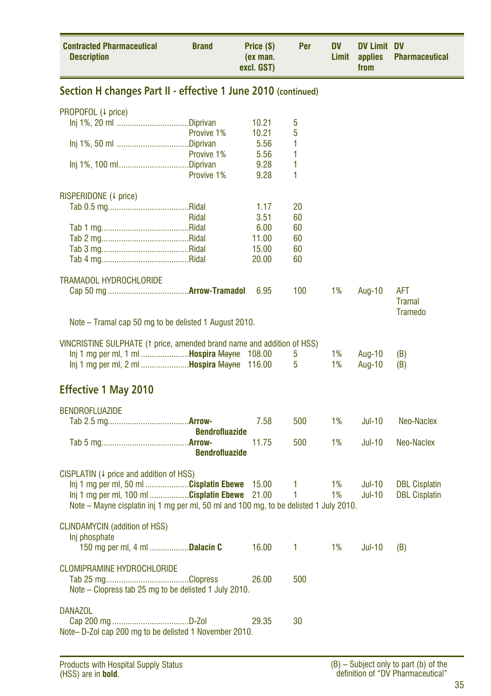| <b>Contracted Pharmaceutical</b><br><b>Description</b>                                | <b>Brand</b>          | Price (\$)<br>(ex man.<br>excl. GST) | Per    | DV<br>Limit | <b>DV Limit DV</b><br>applies<br>from | <b>Pharmaceutical</b> |
|---------------------------------------------------------------------------------------|-----------------------|--------------------------------------|--------|-------------|---------------------------------------|-----------------------|
| Section H changes Part II - effective 1 June 2010 (continued)                         |                       |                                      |        |             |                                       |                       |
| PROPOFOL (4 price)                                                                    |                       |                                      |        |             |                                       |                       |
|                                                                                       |                       | 10.21                                | 5      |             |                                       |                       |
|                                                                                       | Provive 1%            | 10.21<br>5.56                        | 5<br>1 |             |                                       |                       |
|                                                                                       | Provive 1%            | 5.56                                 | 1      |             |                                       |                       |
|                                                                                       |                       | 9.28                                 | 1      |             |                                       |                       |
|                                                                                       | Provive 1%            | 9.28                                 | 1      |             |                                       |                       |
| RISPERIDONE (4 price)                                                                 |                       |                                      |        |             |                                       |                       |
|                                                                                       |                       | 1.17                                 | 20     |             |                                       |                       |
|                                                                                       | Ridal                 | 3.51                                 | 60     |             |                                       |                       |
|                                                                                       |                       | 6.00                                 | 60     |             |                                       |                       |
|                                                                                       |                       | 11.00                                | 60     |             |                                       |                       |
|                                                                                       |                       | 15.00                                | 60     |             |                                       |                       |
|                                                                                       |                       | 20.00                                | 60     |             |                                       |                       |
| <b>TRAMADOL HYDROCHLORIDE</b>                                                         |                       |                                      |        |             |                                       |                       |
|                                                                                       |                       | 6.95                                 | 100    | 1%          | Aug-10                                | <b>AFT</b>            |
|                                                                                       |                       |                                      |        |             |                                       | <b>Tramal</b>         |
| Note – Tramal cap 50 mg to be delisted 1 August 2010.                                 |                       |                                      |        |             |                                       | <b>Tramedo</b>        |
|                                                                                       |                       |                                      |        |             |                                       |                       |
| VINCRISTINE SULPHATE (1 price, amended brand name and addition of HSS)                |                       |                                      |        |             |                                       |                       |
| Inj 1 mg per ml, 1 ml <b>Hospira Mayne</b>                                            |                       | 108.00                               | 5      | 1%          | Aug-10                                | (B)                   |
| Inj 1 mg per ml, 2 ml <b>Hospira Mayne</b>                                            |                       | 116.00                               | 5      | 1%          | Aug-10                                | (B)                   |
|                                                                                       |                       |                                      |        |             |                                       |                       |
| <b>Effective 1 May 2010</b>                                                           |                       |                                      |        |             |                                       |                       |
| <b>BENDROFLUAZIDE</b>                                                                 |                       |                                      |        |             |                                       |                       |
|                                                                                       |                       | 7.58                                 | 500    | 1%          | Jul-10                                | Neo-Naclex            |
|                                                                                       | <b>Bendrofluazide</b> |                                      |        |             |                                       |                       |
|                                                                                       |                       | 11.75                                | 500    | 1%          | $Jul-10$                              | Neo-Naclex            |
|                                                                                       | <b>Bendrofluazide</b> |                                      |        |             |                                       |                       |
| CISPLATIN $(1)$ price and addition of HSS)                                            |                       |                                      |        |             |                                       |                       |
| lnj 1 mg per ml, 50 ml Cisplatin Ebewe                                                |                       | 15.00                                | 1      | 1%          | <b>Jul-10</b>                         | <b>DBL Cisplatin</b>  |
| Inj 1 mg per ml, 100 ml Cisplatin Ebewe 21.00                                         |                       |                                      | 1      | 1%          | <b>Jul-10</b>                         | <b>DBL Cisplatin</b>  |
| Note – Mayne cisplatin inj 1 mg per ml, 50 ml and 100 mg, to be delisted 1 July 2010. |                       |                                      |        |             |                                       |                       |
| <b>CLINDAMYCIN</b> (addition of HSS)                                                  |                       |                                      |        |             |                                       |                       |
| Inj phosphate                                                                         |                       |                                      |        |             |                                       |                       |
| 150 mg per ml, 4 ml <b>Dalacin C</b>                                                  |                       | 16.00                                | 1      | 1%          | <b>Jul-10</b>                         | (B)                   |
|                                                                                       |                       |                                      |        |             |                                       |                       |
| <b>CLOMIPRAMINE HYDROCHLORIDE</b>                                                     |                       |                                      |        |             |                                       |                       |
|                                                                                       |                       | 26.00                                | 500    |             |                                       |                       |
| Note - Clopress tab 25 mg to be delisted 1 July 2010.                                 |                       |                                      |        |             |                                       |                       |
| <b>DANAZOL</b>                                                                        |                       |                                      |        |             |                                       |                       |
|                                                                                       |                       | 29.35                                | 30     |             |                                       |                       |
| Note- D-Zol cap 200 mg to be delisted 1 November 2010.                                |                       |                                      |        |             |                                       |                       |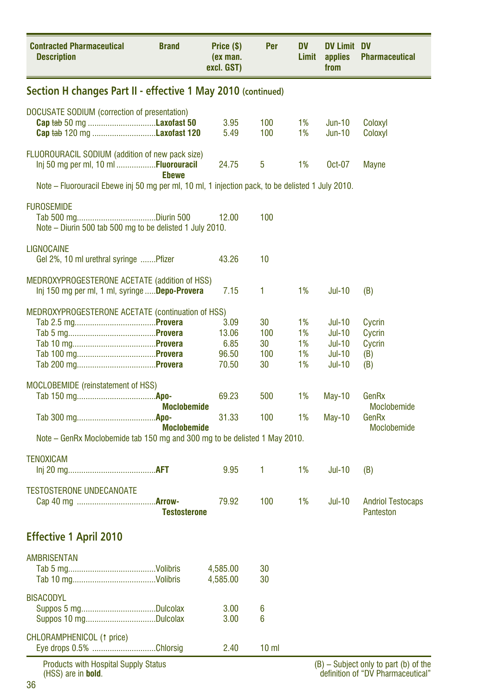| <b>Contracted Pharmaceutical</b><br><b>Description</b>                                                   | <b>Brand</b>        | Price (\$)<br>(ex man.<br>excl. GST)    | Per                          | <b>DV</b><br>Limit         | <b>DV Limit DV</b><br>applies<br>from                                        | <b>Pharmaceutical</b>                    |
|----------------------------------------------------------------------------------------------------------|---------------------|-----------------------------------------|------------------------------|----------------------------|------------------------------------------------------------------------------|------------------------------------------|
| Section H changes Part II - effective 1 May 2010 (continued)                                             |                     |                                         |                              |                            |                                                                              |                                          |
| DOCUSATE SODIUM (correction of presentation)<br>Cap tab 50 mg Laxofast 50<br>Cap tab 120 mg Laxofast 120 |                     | 3.95<br>5.49                            | 100<br>100                   | 1%<br>1%                   | $Jun-10$<br>$Jun-10$                                                         | Coloxyl<br>Coloxyl                       |
| FLUOROURACIL SODIUM (addition of new pack size)<br>Inj 50 mg per ml, 10 ml Fluorouracil                  | <b>Ebewe</b>        | 24.75                                   | 5                            | 1%                         | Oct-07                                                                       | Mayne                                    |
| Note – Fluorouracil Ebewe inj 50 mg per ml, 10 ml, 1 injection pack, to be delisted 1 July 2010.         |                     |                                         |                              |                            |                                                                              |                                          |
| <b>FUROSEMIDE</b><br>Note – Diurin 500 tab 500 mg to be delisted 1 July 2010.                            |                     | 12.00                                   | 100                          |                            |                                                                              |                                          |
| <b>LIGNOCAINE</b><br>Gel 2%, 10 ml urethral syringe Pfizer                                               |                     | 43.26                                   | 10                           |                            |                                                                              |                                          |
| MEDROXYPROGESTERONE ACETATE (addition of HSS)<br>Inj 150 mg per ml, 1 ml, syringe Depo-Provera           |                     | 7.15                                    | 1                            | 1%                         | <b>Jul-10</b>                                                                | (B)                                      |
| MEDROXYPROGESTERONE ACETATE (continuation of HSS)                                                        |                     | 3.09<br>13.06<br>6.85<br>96.50<br>70.50 | 30<br>100<br>30<br>100<br>30 | 1%<br>1%<br>1%<br>1%<br>1% | <b>Jul-10</b><br>$Jul-10$<br><b>Jul-10</b><br><b>Jul-10</b><br><b>Jul-10</b> | Cycrin<br>Cycrin<br>Cycrin<br>(B)<br>(B) |
| <b>MOCLOBEMIDE</b> (reinstatement of HSS)                                                                | Moclobemide         | 69.23                                   | 500                          | 1%                         | May-10                                                                       | GenRx<br>Moclobemide                     |
|                                                                                                          | <b>Moclobemide</b>  | 31.33                                   | 100                          | 1%                         | <b>May-10</b>                                                                | GenRx<br>Moclobemide                     |
| Note – GenRx Moclobemide tab 150 mg and 300 mg to be delisted 1 May 2010.                                |                     |                                         |                              |                            |                                                                              |                                          |
| <b>TENOXICAM</b>                                                                                         |                     | 9.95                                    | 1                            | 1%                         | <b>Jul-10</b>                                                                | (B)                                      |
| <b>TESTOSTERONE UNDECANOATE</b>                                                                          | <b>Testosterone</b> | 79.92                                   | 100                          | 1%                         | <b>Jul-10</b>                                                                | <b>Andriol Testocaps</b><br>Panteston    |
| <b>Effective 1 April 2010</b>                                                                            |                     |                                         |                              |                            |                                                                              |                                          |
| <b>AMBRISENTAN</b>                                                                                       |                     | 4,585.00<br>4,585.00                    | 30<br>30                     |                            |                                                                              |                                          |
| <b>BISACODYL</b>                                                                                         |                     | 3.00<br>3.00                            | 6<br>6                       |                            |                                                                              |                                          |
| CHLORAMPHENICOL (1 price)<br>Eye drops 0.5% Chlorsig                                                     |                     | 2.40                                    | 10 <sub>m</sub>              |                            |                                                                              |                                          |
| <b>Products with Hospital Supply Status</b>                                                              |                     |                                         |                              |                            |                                                                              | $(B)$ – Subject only to part (b) of the  |

(HSS) are in **bold**.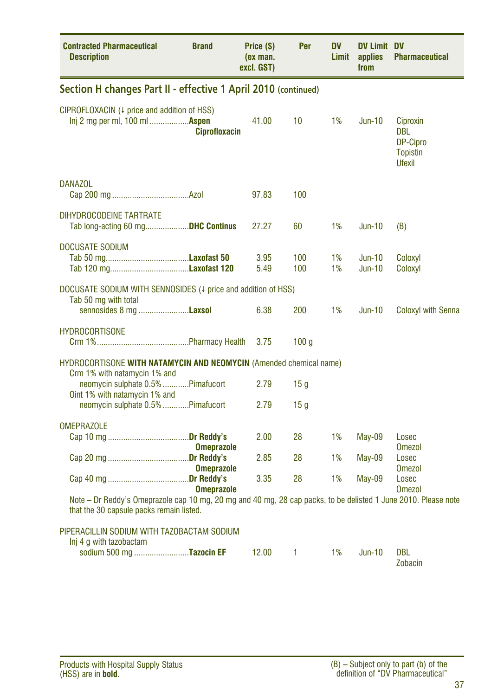| <b>Contracted Pharmaceutical</b><br><b>Description</b>                                                                                                     | <b>Brand</b>         | Price (\$)<br>(ex man.<br>excl. GST) | Per              | <b>DV</b><br>Limit | <b>DV Limit DV</b><br>applies<br>from | <b>Pharmaceutical</b>                                                  |
|------------------------------------------------------------------------------------------------------------------------------------------------------------|----------------------|--------------------------------------|------------------|--------------------|---------------------------------------|------------------------------------------------------------------------|
| Section H changes Part II - effective 1 April 2010 (continued)                                                                                             |                      |                                      |                  |                    |                                       |                                                                        |
| CIPROFLOXACIN (4 price and addition of HSS)<br>Inj 2 mg per ml, 100 ml  Aspen                                                                              | <b>Ciprofloxacin</b> | 41.00                                | 10               | 1%                 | $Jun-10$                              | Ciproxin<br><b>DBL</b><br>DP-Cipro<br><b>Topistin</b><br><b>Ufexil</b> |
| <b>DANAZOL</b>                                                                                                                                             |                      | 97.83                                | 100              |                    |                                       |                                                                        |
| DIHYDROCODEINE TARTRATE<br>Tab long-acting 60 mgDHC Continus                                                                                               |                      | 27.27                                | 60               | 1%                 | <b>Jun-10</b>                         | (B)                                                                    |
| <b>DOCUSATE SODIUM</b>                                                                                                                                     |                      | 3.95<br>5.49                         | 100<br>100       | 1%<br>1%           | $Jun-10$<br>$Jun-10$                  | Coloxyl<br>Coloxyl                                                     |
| DOCUSATE SODIUM WITH SENNOSIDES (4 price and addition of HSS)<br>Tab 50 mg with total<br>sennosides 8 mg <b>Laxsol</b>                                     |                      | 6.38                                 | 200              | 1%                 | $Jun-10$                              | <b>Coloxyl with Senna</b>                                              |
| <b>HYDROCORTISONE</b>                                                                                                                                      |                      | 3.75                                 | 100 <sub>g</sub> |                    |                                       |                                                                        |
| HYDROCORTISONE WITH NATAMYCIN AND NEOMYCIN (Amended chemical name)                                                                                         |                      |                                      |                  |                    |                                       |                                                                        |
| Crm 1% with natamycin 1% and<br>neomycin sulphate 0.5% Pimafucort<br>Oint 1% with natamycin 1% and                                                         |                      | 2.79                                 | 15 <sub>g</sub>  |                    |                                       |                                                                        |
| neomycin sulphate 0.5% Pimafucort                                                                                                                          |                      | 2.79                                 | 15 g             |                    |                                       |                                                                        |
| <b>OMEPRAZOLE</b>                                                                                                                                          | <b>Omeprazole</b>    | 2.00                                 | 28               | 1%                 | May-09                                | Losec<br><b>Omezol</b>                                                 |
|                                                                                                                                                            | <b>Omeprazole</b>    | 2.85                                 | 28               | 1%                 | <b>May-09</b>                         | Losec<br><b>Omezol</b>                                                 |
|                                                                                                                                                            | <b>Omeprazole</b>    | 3.35                                 | 28               | 1%                 | <b>May-09</b>                         | Losec<br><b>Omezol</b>                                                 |
| Note – Dr Reddy's Omeprazole cap 10 mg, 20 mg and 40 mg, 28 cap packs, to be delisted 1 June 2010. Please note<br>that the 30 capsule packs remain listed. |                      |                                      |                  |                    |                                       |                                                                        |
| PIPERACILLIN SODIUM WITH TAZOBACTAM SODIUM<br>Inj 4 g with tazobactam                                                                                      |                      |                                      |                  |                    |                                       |                                                                        |
| sodium 500 mg Tazocin EF                                                                                                                                   |                      | 12.00                                | 1                | 1%                 | <b>Jun-10</b>                         | <b>DBL</b><br><b>Zobacin</b>                                           |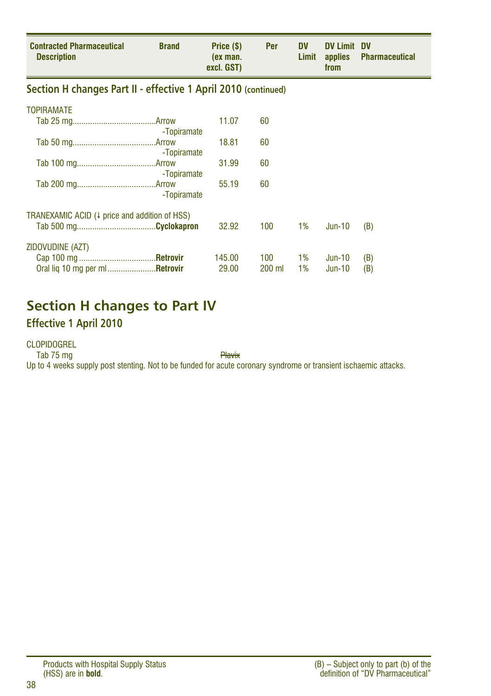| <b>Contracted Pharmaceutical</b><br><b>Description</b>         | <b>Brand</b> | Price (\$)<br>(ex man.<br>excl. GST) | Per           | <b>DV</b><br>Limit | <b>DV Limit DV</b><br>from | applies Pharmaceutical |
|----------------------------------------------------------------|--------------|--------------------------------------|---------------|--------------------|----------------------------|------------------------|
| Section H changes Part II - effective 1 April 2010 (continued) |              |                                      |               |                    |                            |                        |
| <b>TOPIRAMATE</b>                                              |              |                                      |               |                    |                            |                        |
|                                                                | -Topiramate  | 11.07                                | 60            |                    |                            |                        |
|                                                                | -Topiramate  | 18.81                                | 60            |                    |                            |                        |
|                                                                | -Topiramate  | 31.99                                | 60            |                    |                            |                        |
|                                                                | -Topiramate  | 55.19                                | 60            |                    |                            |                        |
| TRANEXAMIC ACID (+ price and addition of HSS)                  |              |                                      |               |                    |                            |                        |
|                                                                |              | 32.92                                | 100           | $1\%$              | Jun-10                     | (B)                    |
| ZIDOVUDINE (AZT)                                               |              |                                      |               |                    |                            |                        |
| Oral lig 10 mg per ml <b>Retrovir</b>                          |              | 145.00<br>29.00                      | 100<br>200 ml | 1%<br>1%           | Jun-10<br>$Jun-10$         | (B)<br>(B)             |

### **Section H changes to Part IV**

#### **Effective 1 April 2010**

CLOPIDOGREL

Tab 75 mg

Up to 4 weeks supply post stenting. Not to be funded for acute coronary syndrome or transient ischaemic attacks.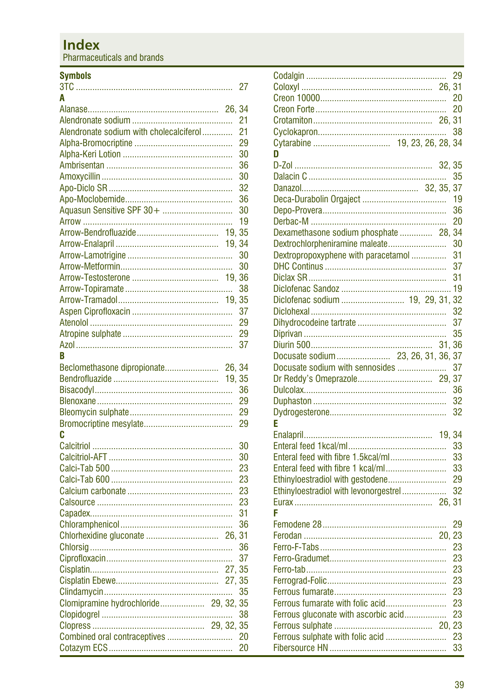### **Index**

Pharmaceuticals and brands

#### **Symbols**

|                                         | 27 |
|-----------------------------------------|----|
| A                                       |    |
|                                         |    |
|                                         | 21 |
| Alendronate sodium with cholecalciferol | 21 |
|                                         | 29 |
|                                         | 30 |
|                                         | 36 |
|                                         | 30 |
|                                         | 32 |
|                                         | 36 |
| Aquasun Sensitive SPF 30+               | 30 |
|                                         | 19 |
|                                         |    |
|                                         |    |
|                                         | 30 |
|                                         | 30 |
|                                         |    |
|                                         | 38 |
| 19, 35                                  |    |
|                                         | 37 |
|                                         | 29 |
|                                         | 29 |
|                                         | 37 |
| R                                       |    |
| Beclomethasone dipropionate 26, 34      |    |
| 19, 35                                  |    |
|                                         | 36 |
|                                         | 29 |
|                                         | 29 |
|                                         | 29 |
| C                                       |    |
|                                         | 30 |
|                                         | 30 |
|                                         | 23 |
|                                         | 23 |
|                                         | 23 |
|                                         | 23 |
|                                         | 31 |
|                                         |    |
|                                         | 36 |
|                                         |    |
|                                         | 36 |
|                                         | 37 |
|                                         |    |
|                                         |    |
|                                         | 35 |
| Clomipramine hydrochloride 29, 32, 35   |    |
|                                         | 38 |
|                                         |    |
| Combined oral contraceptives            | 20 |
|                                         | 20 |

|                                        | 29 |
|----------------------------------------|----|
|                                        |    |
|                                        | 20 |
|                                        | 20 |
|                                        |    |
|                                        | 38 |
|                                        |    |
| D                                      |    |
|                                        |    |
|                                        | 35 |
|                                        |    |
|                                        | 19 |
|                                        | 36 |
|                                        | 20 |
| Dexamethasone sodium phosphate  28, 34 |    |
| Dextrochlorpheniramine maleate         | 30 |
| Dextropropoxyphene with paracetamol    | 31 |
|                                        | 37 |
|                                        | 31 |
|                                        |    |
| Diclofenac sodium  19, 29, 31, 32      |    |
|                                        |    |
|                                        | 37 |
|                                        | 35 |
|                                        |    |
| Docusate sodium 23, 26, 31, 36, 37     |    |
| Docusate sodium with sennosides        | 37 |
|                                        |    |
|                                        | 36 |
|                                        | 32 |
|                                        | 32 |
| F                                      |    |
|                                        |    |
|                                        | 33 |
| Enteral feed with fibre 1.5kcal/ml     | 33 |
| Enteral feed with fibre 1 kcal/ml      | 33 |
| Ethinyloestradiol with gestodene       | 29 |
| Ethinyloestradiol with levonorgestrel  | 32 |
|                                        |    |
|                                        |    |
|                                        | 29 |
|                                        |    |
|                                        | 23 |
|                                        | 23 |
|                                        | 23 |
|                                        | 23 |
|                                        | 23 |
| Ferrous fumarate with folic acid       | 23 |
| Ferrous gluconate with ascorbic acid   | 23 |
|                                        |    |
| Ferrous sulphate with folic acid       | 23 |
|                                        | 33 |
|                                        |    |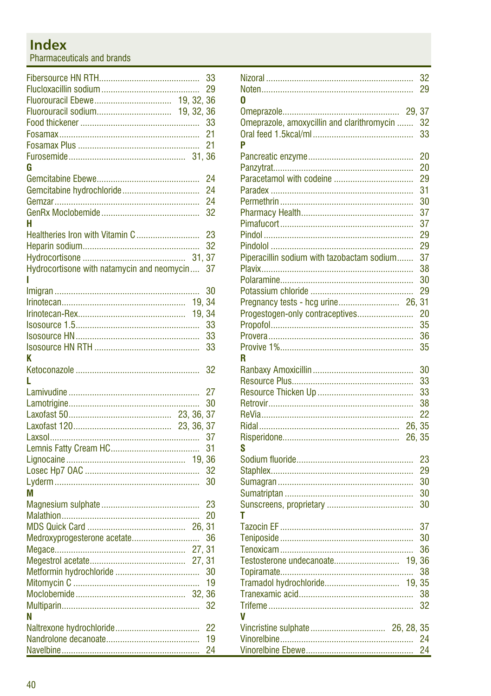# **Index**

Pharmaceuticals and brands

|                                            |        | 33 |
|--------------------------------------------|--------|----|
|                                            |        | 29 |
| 19, 32, 36                                 |        |    |
| 19, 32, 36                                 |        |    |
|                                            |        | 33 |
|                                            |        | 21 |
|                                            |        | 21 |
|                                            | 31.36  |    |
| G                                          |        |    |
|                                            |        | 24 |
|                                            |        | 24 |
|                                            |        | 24 |
|                                            |        | 32 |
| н                                          |        |    |
| Healtheries Iron with Vitamin C            |        | 23 |
|                                            |        | 32 |
|                                            | 31.    | 37 |
| Hydrocortisone with natamycin and neomycin |        | 37 |
|                                            |        |    |
|                                            |        | 30 |
|                                            | 19, 34 |    |
|                                            | 19, 34 |    |
|                                            |        | 33 |
|                                            |        | 33 |
|                                            |        | 33 |
| ĸ                                          |        |    |
|                                            |        | 32 |
| L                                          |        |    |
|                                            |        | 27 |
|                                            |        | 30 |
|                                            |        |    |
|                                            |        | 37 |
|                                            |        |    |
|                                            |        | 37 |
|                                            |        | 31 |
|                                            |        |    |
|                                            |        | 32 |
|                                            |        | 30 |
| M                                          |        |    |
|                                            |        | 23 |
|                                            |        | 20 |
|                                            | 26.31  |    |
| Medroxyprogesterone acetate                |        | 36 |
|                                            | 27,    | 31 |
|                                            | 27, 31 |    |
|                                            |        | 30 |
|                                            |        | 19 |
|                                            | 32.36  |    |
|                                            |        | 32 |
| N                                          |        |    |
|                                            |        | 22 |
|                                            |        | 19 |
|                                            |        | 24 |

|                                                      | 32<br>29 |
|------------------------------------------------------|----------|
| በ                                                    |          |
|                                                      |          |
| 29, 37<br>Omeprazole, amoxycillin and clarithromycin |          |
|                                                      | 32<br>33 |
| P                                                    |          |
|                                                      |          |
|                                                      | 20       |
|                                                      | 20       |
|                                                      | 29       |
|                                                      | 31       |
|                                                      | 30       |
|                                                      | 37       |
|                                                      | 37       |
|                                                      | 29       |
|                                                      | 29       |
| Piperacillin sodium with tazobactam sodium           | 37       |
|                                                      | 38       |
|                                                      | 30       |
|                                                      | 29       |
|                                                      |          |
| Progestogen-only contraceptives                      | 20       |
|                                                      | 35       |
|                                                      | 36       |
|                                                      | 35       |
| R                                                    |          |
|                                                      | 30       |
|                                                      | 33       |
|                                                      | 33       |
|                                                      | 38       |
|                                                      | 22       |
| 26, 35                                               |          |
| 26, 35                                               |          |
| S                                                    |          |
|                                                      | 23       |
|                                                      | 29       |
|                                                      | 30       |
|                                                      | 30       |
|                                                      | 30       |
| т                                                    |          |
|                                                      | 37       |
|                                                      | 30       |
|                                                      | 36       |
| Testosterone undecanoate<br>19, 36                   |          |
|                                                      | 38       |
| Tramadol hydrochloride<br>19, 35                     |          |
|                                                      | 38       |
|                                                      | 32       |
| V                                                    |          |
|                                                      |          |
|                                                      | 24       |
|                                                      | 24       |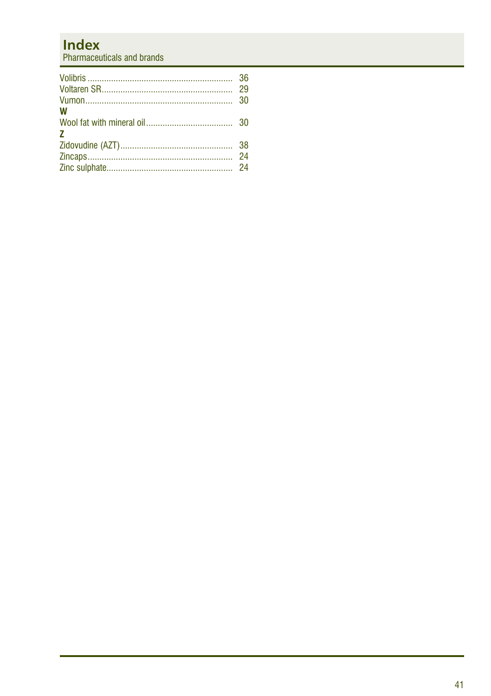# **Index**

Pharmaceuticals and brands

| W<br>7 |  |
|--------|--|
|        |  |